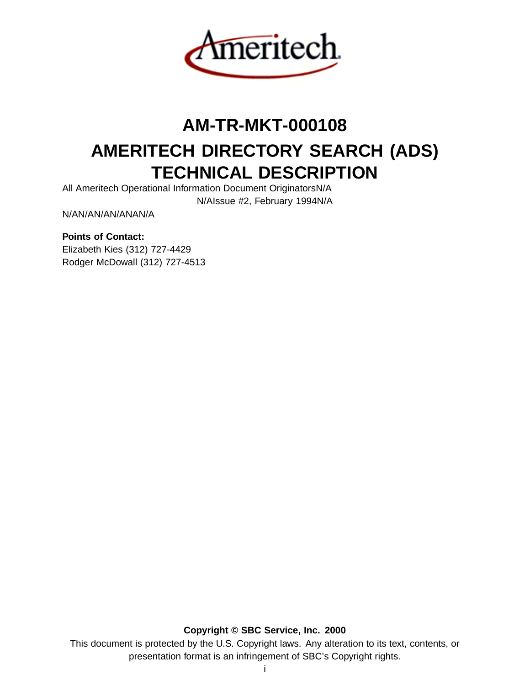

# **AM-TR-MKT-000108**

# **AMERITECH DIRECTORY SEARCH (ADS) TECHNICAL DESCRIPTION**

All Ameritech Operational Information Document OriginatorsN/A

N/AIssue #2, February 1994N/A

N/AN/AN/AN/ANAN/A

# **Points of Contact:**

Elizabeth Kies (312) 727-4429 Rodger McDowall (312) 727-4513

**Copyright © SBC Service, Inc. 2000** This document is protected by the U.S. Copyright laws. Any alteration to its text, contents, or presentation format is an infringement of SBC's Copyright rights.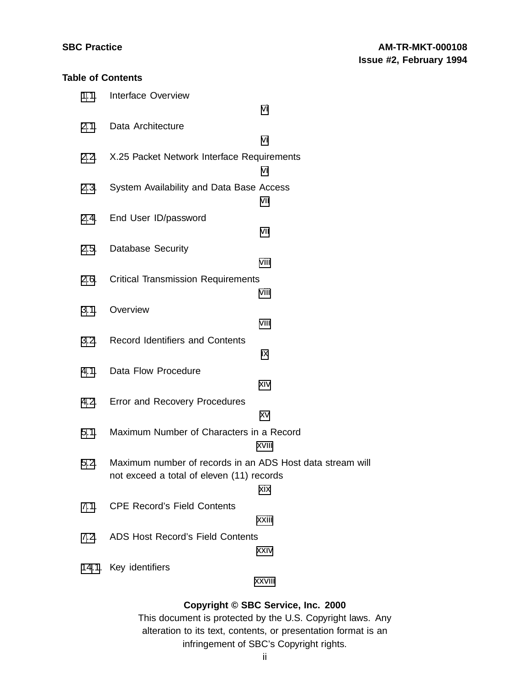# **Table of Contents**

|      | 1.1. Interface Overview                                        |        |
|------|----------------------------------------------------------------|--------|
|      |                                                                | vi     |
|      | 2.1. Data Architecture                                         |        |
|      |                                                                | vi     |
|      | 2.2. X.25 Packet Network Interface Requirements                |        |
|      |                                                                | vi     |
| 2.3. | System Availability and Data Base Access                       |        |
|      |                                                                | vii    |
|      | 2.4. End User ID/password                                      |        |
|      |                                                                | vii    |
|      | 2.5. Database Security                                         |        |
|      |                                                                | viii   |
|      | 2.6. Critical Transmission Requirements                        |        |
|      |                                                                | viii   |
| 3.1. | Overview                                                       |        |
|      |                                                                | viii   |
|      | 3.2. Record Identifiers and Contents                           |        |
|      |                                                                | iх     |
|      |                                                                |        |
|      | 4.1. Data Flow Procedure                                       |        |
|      |                                                                | xiv    |
|      | 4.2. Error and Recovery Procedures                             |        |
|      |                                                                | XV     |
|      | 5.1. Maximum Number of Characters in a Record                  |        |
|      |                                                                | xviii  |
|      | 5.2. Maximum number of records in an ADS Host data stream will |        |
|      | not exceed a total of eleven (11) records                      |        |
|      |                                                                | xix    |
|      | 7.1. CPE Record's Field Contents                               |        |
|      |                                                                | xxiii  |
|      | 7.2. ADS Host Record's Field Contents                          |        |
|      |                                                                | xxiv   |
|      | 14.1. Key identifiers                                          |        |
|      |                                                                | xxviii |

# **Copyright © SBC Service, Inc. 2000**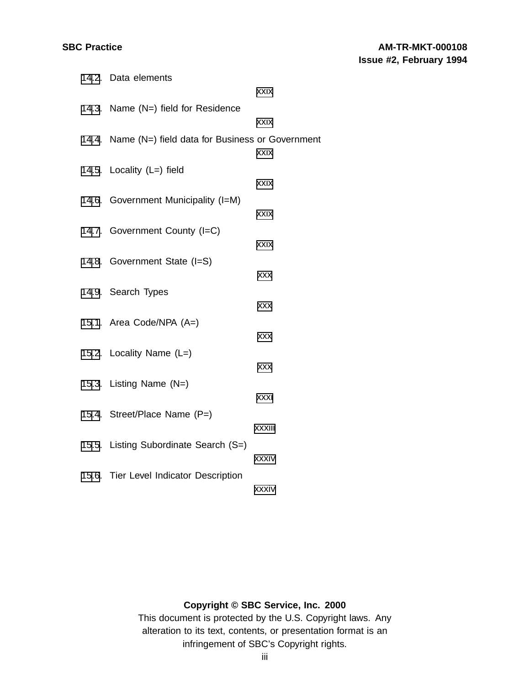| 14.2. Data elements                                   |            |
|-------------------------------------------------------|------------|
|                                                       | xxix       |
| 14.3. Name (N=) field for Residence                   |            |
|                                                       | xxix       |
| 14.4. Name (N=) field data for Business or Government |            |
|                                                       | xxix       |
| 14.5. Locality (L=) field                             |            |
|                                                       | xxix       |
| 14.6. Government Municipality (I=M)                   | xxix       |
|                                                       |            |
| 14.7. Government County (I=C)                         | xxix       |
| 14.8. Government State (I=S)                          |            |
|                                                       | <b>XXX</b> |
| 14.9. Search Types                                    |            |
|                                                       | <b>XXX</b> |
| 15.1. Area Code/NPA (A=)                              |            |
|                                                       | <b>XXX</b> |
| 15.2. Locality Name (L=)                              |            |
|                                                       | <b>XXX</b> |
| 15.3. Listing Name (N=)                               |            |
|                                                       | xxxi       |
| 15.4. Street/Place Name (P=)                          |            |
|                                                       | xxxiii     |
| 15.5. Listing Subordinate Search (S=)                 | xxxiv      |
|                                                       |            |
| 15.6. Tier Level Indicator Description                | xxxiv      |
|                                                       |            |

# **Copyright © SBC Service, Inc. 2000**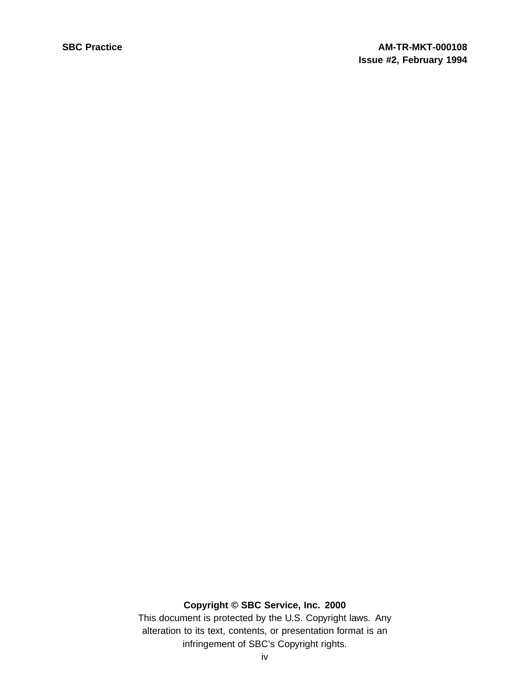# **Copyright © SBC Service, Inc. 2000**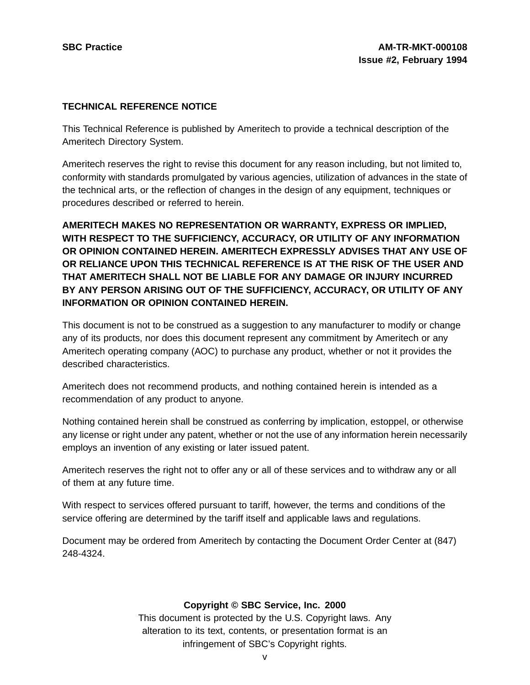# **TECHNICAL REFERENCE NOTICE**

This Technical Reference is published by Ameritech to provide a technical description of the Ameritech Directory System.

Ameritech reserves the right to revise this document for any reason including, but not limited to, conformity with standards promulgated by various agencies, utilization of advances in the state of the technical arts, or the reflection of changes in the design of any equipment, techniques or procedures described or referred to herein.

**AMERITECH MAKES NO REPRESENTATION OR WARRANTY, EXPRESS OR IMPLIED, WITH RESPECT TO THE SUFFICIENCY, ACCURACY, OR UTILITY OF ANY INFORMATION OR OPINION CONTAINED HEREIN. AMERITECH EXPRESSLY ADVISES THAT ANY USE OF OR RELIANCE UPON THIS TECHNICAL REFERENCE IS AT THE RISK OF THE USER AND THAT AMERITECH SHALL NOT BE LIABLE FOR ANY DAMAGE OR INJURY INCURRED BY ANY PERSON ARISING OUT OF THE SUFFICIENCY, ACCURACY, OR UTILITY OF ANY INFORMATION OR OPINION CONTAINED HEREIN.**

This document is not to be construed as a suggestion to any manufacturer to modify or change any of its products, nor does this document represent any commitment by Ameritech or any Ameritech operating company (AOC) to purchase any product, whether or not it provides the described characteristics.

Ameritech does not recommend products, and nothing contained herein is intended as a recommendation of any product to anyone.

Nothing contained herein shall be construed as conferring by implication, estoppel, or otherwise any license or right under any patent, whether or not the use of any information herein necessarily employs an invention of any existing or later issued patent.

Ameritech reserves the right not to offer any or all of these services and to withdraw any or all of them at any future time.

With respect to services offered pursuant to tariff, however, the terms and conditions of the service offering are determined by the tariff itself and applicable laws and regulations.

Document may be ordered from Ameritech by contacting the Document Order Center at (847) 248-4324.

# **Copyright © SBC Service, Inc. 2000**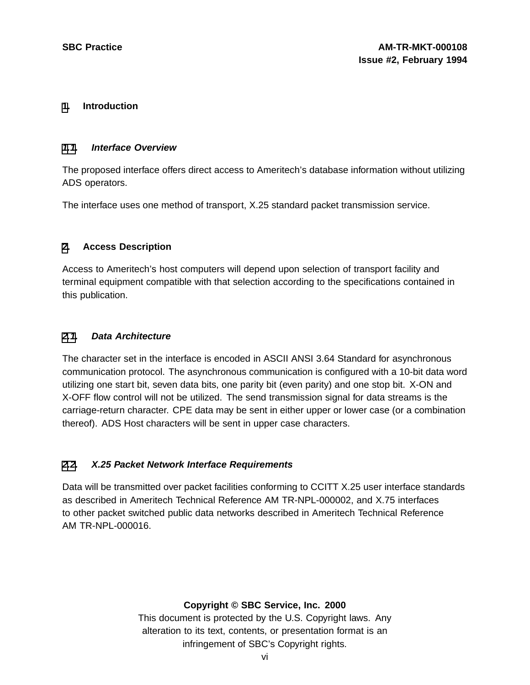# **[1](#page-5-0). Introduction**

#### **[1.1](#page-5-0). Interface Overview**

The proposed interface offers direct access to Ameritech's database information without utilizing ADS operators.

The interface uses one method of transport, X.25 standard packet transmission service.

# **[2](#page-5-0). Access Description**

Access to Ameritech's host computers will depend upon selection of transport facility and terminal equipment compatible with that selection according to the specifications contained in this publication.

#### **[2.1](#page-5-0). Data Architecture**

The character set in the interface is encoded in ASCII ANSI 3.64 Standard for asynchronous communication protocol. The asynchronous communication is configured with a 10-bit data word utilizing one start bit, seven data bits, one parity bit (even parity) and one stop bit. X-ON and X-OFF flow control will not be utilized. The send transmission signal for data streams is the carriage-return character. CPE data may be sent in either upper or lower case (or a combination thereof). ADS Host characters will be sent in upper case characters.

# **[2.2](#page-5-0). X.25 Packet Network Interface Requirements**

Data will be transmitted over packet facilities conforming to CCITT X.25 user interface standards as described in Ameritech Technical Reference AM TR-NPL-000002, and X.75 interfaces to other packet switched public data networks described in Ameritech Technical Reference AM TR-NPL-000016.

# <span id="page-5-0"></span>**Copyright © SBC Service, Inc. 2000**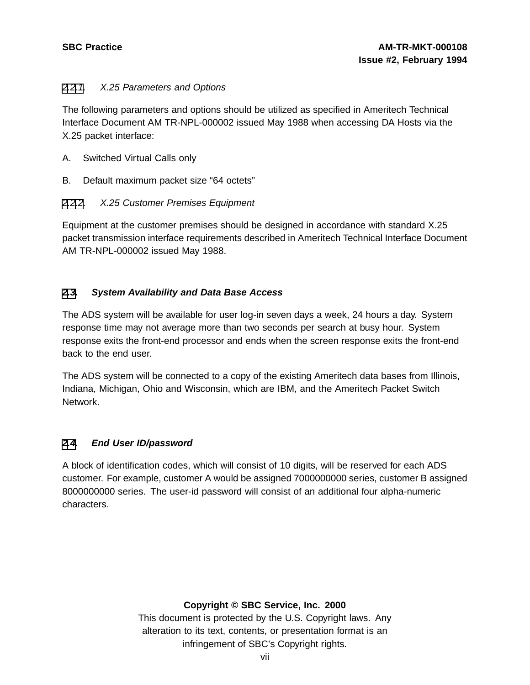# [2.2](#page-5-0)[.1](#page-6-0). X.25 Parameters and Options

The following parameters and options should be utilized as specified in Ameritech Technical Interface Document AM TR-NPL-000002 issued May 1988 when accessing DA Hosts via the X.25 packet interface:

- A. Switched Virtual Calls only
- B. Default maximum packet size "64 octets"

# [2.2](#page-5-0)[.2](#page-6-0). X.25 Customer Premises Equipment

Equipment at the customer premises should be designed in accordance with standard X.25 packet transmission interface requirements described in Ameritech Technical Interface Document AM TR-NPL-000002 issued May 1988.

# **[2](#page-5-0)[.3](#page-6-0). System Availability and Data Base Access**

The ADS system will be available for user log-in seven days a week, 24 hours a day. System response time may not average more than two seconds per search at busy hour. System response exits the front-end processor and ends when the screen response exits the front-end back to the end user.

The ADS system will be connected to a copy of the existing Ameritech data bases from Illinois, Indiana, Michigan, Ohio and Wisconsin, which are IBM, and the Ameritech Packet Switch Network.

# **[2](#page-5-0)[.4](#page-6-0). End User ID/password**

A block of identification codes, which will consist of 10 digits, will be reserved for each ADS customer. For example, customer A would be assigned 7000000000 series, customer B assigned 8000000000 series. The user-id password will consist of an additional four alpha-numeric characters.

# <span id="page-6-0"></span>**Copyright © SBC Service, Inc. 2000**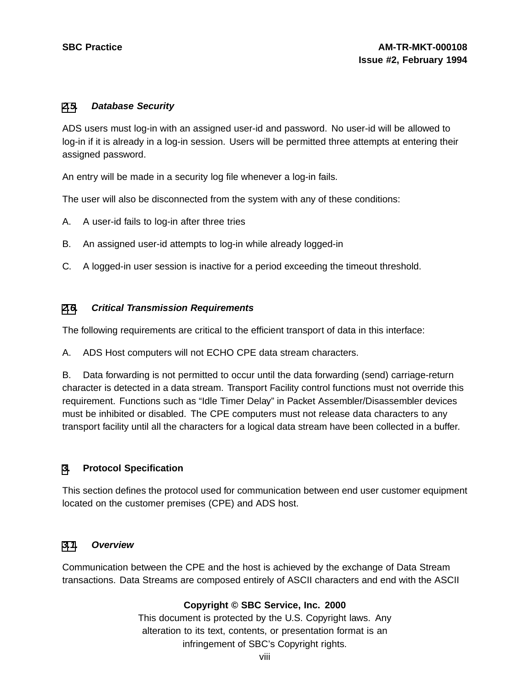#### **[2](#page-5-0)[.5](#page-7-0). Database Security**

ADS users must log-in with an assigned user-id and password. No user-id will be allowed to log-in if it is already in a log-in session. Users will be permitted three attempts at entering their assigned password.

An entry will be made in a security log file whenever a log-in fails.

The user will also be disconnected from the system with any of these conditions:

- A. A user-id fails to log-in after three tries
- B. An assigned user-id attempts to log-in while already logged-in
- C. A logged-in user session is inactive for a period exceeding the timeout threshold.

# **[2](#page-5-0)[.6](#page-7-0). Critical Transmission Requirements**

The following requirements are critical to the efficient transport of data in this interface:

A. ADS Host computers will not ECHO CPE data stream characters.

B. Data forwarding is not permitted to occur until the data forwarding (send) carriage-return character is detected in a data stream. Transport Facility control functions must not override this requirement. Functions such as "Idle Timer Delay" in Packet Assembler/Disassembler devices must be inhibited or disabled. The CPE computers must not release data characters to any transport facility until all the characters for a logical data stream have been collected in a buffer.

# **[3](#page-7-0). Protocol Specification**

This section defines the protocol used for communication between end user customer equipment located on the customer premises (CPE) and ADS host.

# **[3.1](#page-7-0). Overview**

<span id="page-7-0"></span>Communication between the CPE and the host is achieved by the exchange of Data Stream transactions. Data Streams are composed entirely of ASCII characters and end with the ASCII

# **Copyright © SBC Service, Inc. 2000**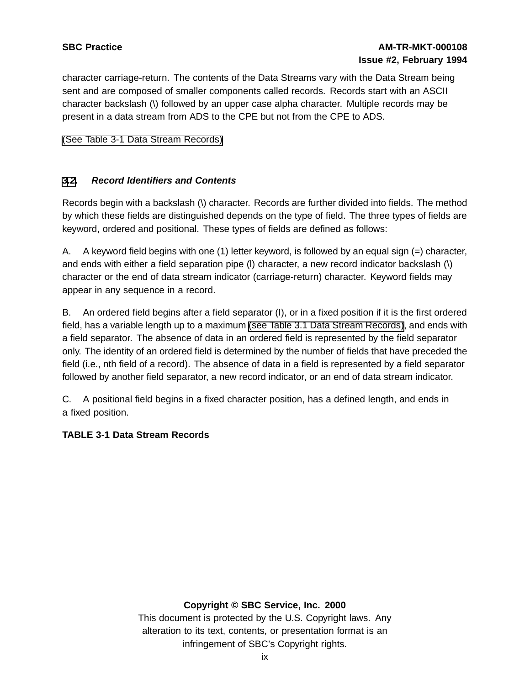character carriage-return. The contents of the Data Streams vary with the Data Stream being sent and are composed of smaller components called records. Records start with an ASCII character backslash (\) followed by an upper case alpha character. Multiple records may be present in a data stream from ADS to the CPE but not from the CPE to ADS.

(See Table 3-1 Data Stream [Records\)](#page-8-0)

# **[3](#page-7-0)[.2](#page-8-0). Record Identifiers and Contents**

Records begin with a backslash (\) character. Records are further divided into fields. The method by which these fields are distinguished depends on the type of field. The three types of fields are keyword, ordered and positional. These types of fields are defined as follows:

A. A keyword field begins with one (1) letter keyword, is followed by an equal sign (=) character, and ends with either a field separation pipe (l) character, a new record indicator backslash (\) character or the end of data stream indicator (carriage-return) character. Keyword fields may appear in any sequence in a record.

B. An ordered field begins after a field separator (I), or in a fixed position if it is the first ordered field, has a variable length up to a maximum (see Table 3.1 Data Stream [Records\),](#page-8-0) and ends with a field separator. The absence of data in an ordered field is represented by the field separator only. The identity of an ordered field is determined by the number of fields that have preceded the field (i.e., nth field of a record). The absence of data in a field is represented by a field separator followed by another field separator, a new record indicator, or an end of data stream indicator.

C. A positional field begins in a fixed character position, has a defined length, and ends in a fixed position.

# **TABLE 3-1 Data Stream Records**

# <span id="page-8-0"></span>**Copyright © SBC Service, Inc. 2000**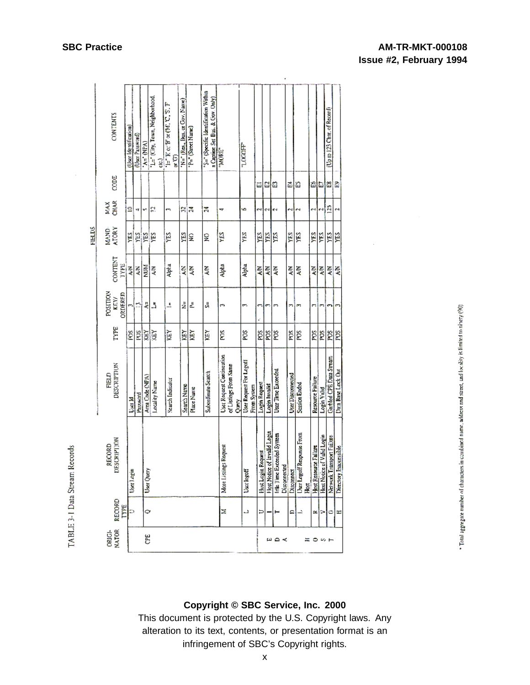|               | <b>CONTENTS</b>            | (User Identification) | (User Password) | $\lambda = (NPA)$ | L= (City, Town, Neighborhood,<br>g | $\mathbb{H}^{\ast} \to \infty \oplus \infty \left( \mathbb{M}, \mathbb{C}, \mathbb{S}, \mathbb{F} \right)$<br>Ę | 'N=" (Res., Bus. or Gov. Nane) | P=" (Street Name) | "S=" (Specific Identification Within<br>a Capison Set-Bus, & Gov. Only) | "MORE"                                                      | <b>LOCOL</b>                           |                       |                              |                                           |                   |                                               |                       |                            | (Up to 123 Char, of Record)              |                        |
|---------------|----------------------------|-----------------------|-----------------|-------------------|------------------------------------|-----------------------------------------------------------------------------------------------------------------|--------------------------------|-------------------|-------------------------------------------------------------------------|-------------------------------------------------------------|----------------------------------------|-----------------------|------------------------------|-------------------------------------------|-------------------|-----------------------------------------------|-----------------------|----------------------------|------------------------------------------|------------------------|
|               | CODE                       |                       |                 |                   |                                    |                                                                                                                 |                                |                   |                                                                         |                                                             |                                        | Ξ                     | B                            | a                                         | Ĩ.                | n                                             | H                     | ದಿ ಙ                       |                                          | Đ                      |
|               | <b>CHAR</b><br>X           | S                     | ٧Ţ              | v,                | 잀                                  | m,                                                                                                              | ₽                              | Ν                 | Ż,                                                                      | ₩                                                           | s                                      |                       | c٩                           | ç4                                        | N                 | N                                             | ęЧ                    | e4]                        | Ĕ                                        | ςŧ                     |
| <b>FIELDS</b> | MAND-<br>ATORY             | YES                   | 뗽               | ΥES               | ΥES                                | YES                                                                                                             | 뗽                              |                   | g                                                                       | ¥S                                                          | É                                      | YЕS                   | YES                          | É                                         | YES.              | Ë                                             | УES                   | Y۴                         | YES                                      | χŖ                     |
|               | CONTENT<br>TYPE            | ⋚                     | Ś               | <b>NUM</b>        | ξ                                  | Alpha                                                                                                           | ξ                              | ξ                 | ξ                                                                       | abar<br>P                                                   | Alpha                                  | ₹                     | ξ                            | ξ                                         | ξ                 | ξ                                             | Ş                     | ξ                          | ξ                                        | Š                      |
|               | POSITION<br>ORDERED<br>KEY |                       | n               | ê                 | 5                                  | Δ                                                                                                               | ż                              | Ł                 | J,                                                                      | n                                                           | ٣,                                     |                       |                              |                                           | ŗ,                | m                                             | n                     |                            |                                          |                        |
|               | <b>TYPE</b>                | É                     | g               | XEY               | š                                  | è                                                                                                               | ğ                              | ğ                 | ěĭ                                                                      | É                                                           | ğ                                      | Š                     | ğ                            | g                                         | Ş                 | ğ                                             | ğ                     | SO4                        | POS.                                     | ğ                      |
|               | DESCRIPTION<br>FIELD       | <b>Disea</b> ld       | Password        | Area Code (NPA)   | Locality Name                      | Search Indicator                                                                                                | Search Name                    | Place Name        | Subordinate Search                                                      | User Request Continuation<br>of Listings From Same<br>Query | User Request For Logal!<br>From System | Login Request         | Login Invalid                | User Time Exceeded                        | User Disconnected | Session Ended                                 | Resource Failure      | Login Valid                | Garbled CPE Data Stream                  | Data Base Lock Out     |
|               | DESCRIPTION<br>RECORD      | User Login            |                 | User Query        |                                    |                                                                                                                 |                                |                   |                                                                         | ngs Request<br>More Listin                                  | User logoff                            | Request<br>Host Login | Host Notice of Invalid Login | Idle Time Exceeded System<br>Disconnected | Discormect        | User Logoff Response From<br>H <sub>ext</sub> | Host Resource Failure | Host Notice of Valid Login | ransport Failure<br>Network <sup>T</sup> | Directory Inaccessible |
|               | RECORD<br>LAME             | ∍                     |                 | 0                 |                                    |                                                                                                                 |                                |                   |                                                                         | Ξ                                                           | L)                                     | ∍                     |                              |                                           | ≏                 |                                               | ≃                     | ⋗                          | ٠                                        | H                      |
|               | NATOR<br>ORIG-             |                       |                 | Ë                 |                                    |                                                                                                                 |                                |                   |                                                                         |                                                             |                                        |                       |                              | <b>≃≏≺</b>                                |                   | Ξ                                             | ۰                     | 10 F                       |                                          |                        |

Total aggregate number of characters in combined name, address and street, and locality is filmited to ninety (90).

# **Copyright © SBC Service, Inc. 2000**

This document is protected by the U.S. Copyright laws. Any alteration to its text, contents, or presentation format is an infringement of SBC's Copyright rights.

TABLE 3-1 Data Stream Records

# **SBC Practice AM-TR-MKT-000108 Issue #2, February 1994**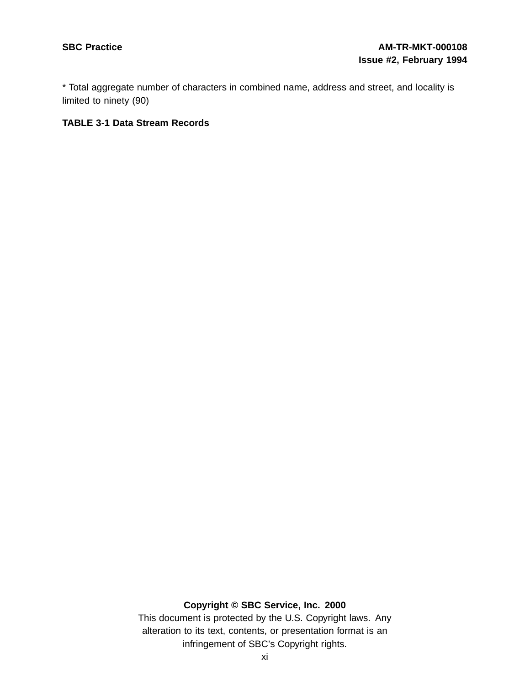\* Total aggregate number of characters in combined name, address and street, and locality is limited to ninety (90)

#### **TABLE 3-1 Data Stream Records**

# **Copyright © SBC Service, Inc. 2000**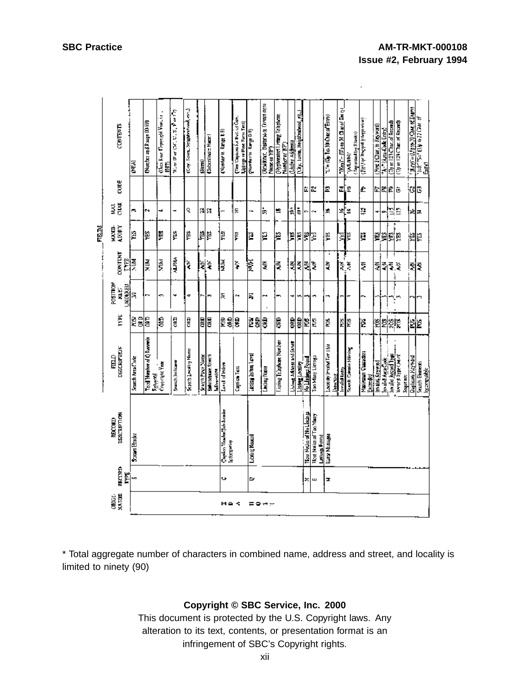k,

|       |                 | <b>CONTENTS</b>          | Ē                | (Nurther and Range 00-99)             | (Usos Rase Copyright Vear, i.e. .<br>1987) | $\mathbb{R}_+$ or $\mathbb{D}^*$ or $(\mathbb{C} \mathbb{C}^*, \mathbb{C}^*, \mathbb{C}^*, \mathbb{R}^*)$ or $1.7$ | (Eng. Town, Neightythand, each) | $\frac{1}{2}$     | Subcolinal = Name                     | (Musical aircrite 19)                           | (Tier Captures for Bos. of Gan.<br>Listings or Ense Form Text | (Numberin Range D-9)      | <b>CRESIONNE</b> , Bustorsa or Conventionni<br>Mons or YP') | (Hyphesinet) inting Telephone<br>Narber at 1879 | (Usdng Address)               | <u> استاع (T</u> rigon Meighboahood) والسا |                          |                                          | $T = (U_0, I_0, M)$ Change Empy             | $(N_{\Theta}) = (U_0 \cup M \cup \text{diag})$ Excel | [Separated by Blanks]<br><b>CANTAN</b> | (Fig.1 or Respond to the price) | (First 2 Chart in Keyword) | We Code Entry     | Mine 123⊂har.of Record) | (Opine 124 Chart of Record)           | $\mathcal{L}(\mathbb{R}^{n})=\{1,0,0,1\}$ only of Early | A PEC 22 0 A DIFFICULTURE<br>ិ<br>ភិ |
|-------|-----------------|--------------------------|------------------|---------------------------------------|--------------------------------------------|--------------------------------------------------------------------------------------------------------------------|---------------------------------|-------------------|---------------------------------------|-------------------------------------------------|---------------------------------------------------------------|---------------------------|-------------------------------------------------------------|-------------------------------------------------|-------------------------------|--------------------------------------------|--------------------------|------------------------------------------|---------------------------------------------|------------------------------------------------------|----------------------------------------|---------------------------------|----------------------------|-------------------|-------------------------|---------------------------------------|---------------------------------------------------------|--------------------------------------|
|       |                 | ă                        |                  |                                       |                                            |                                                                                                                    |                                 |                   |                                       |                                                 |                                                               |                           |                                                             |                                                 |                               |                                            | ù.                       | la.                                      | L                                           | ≖[∷                                                  |                                        | Ł                               |                            |                   | 비죄회하                    |                                       | ा                                                       | G                                    |
|       | Š               | <b>EXE</b>               | ē.               | м                                     | ÷                                          | ÷                                                                                                                  | č                               | 예의                |                                       | ÷                                               | 톦                                                             | ÷                         | 'n                                                          | 빤                                               | 흜                             | Į                                          | G                        | ∾                                        | ¥,                                          | ≊أ≈                                                  |                                        | ē                               | ÷                          |                   | 님요                      |                                       | ۶d                                                      | 昆                                    |
| FELDS | ция.            | VIORY                    | ă,               | Þ                                     | Ų                                          | ě                                                                                                                  | ë                               | 剛                 |                                       | μ                                               | Ë                                                             | Ê                         | p                                                           | P                                               | þ                             | Þ                                          | F                        | Þ                                        | Ų,                                          | 뗽                                                    | ĬΞ                                     | Ę                               |                            |                   | 翼翼野路                    |                                       | 鼮                                                       | Ĕ                                    |
| į     |                 | <b>TALLAND</b><br>LAMB   | Ē                | 릊                                     | š                                          | <b>ALPHA</b>                                                                                                       | $\tilde{\gamma}$                | 늭                 | $\hat{\mathbf{z}}$                    | ¥,                                              | ξ                                                             | 佞                         | Ş                                                           | ξ                                               |                               | 줰                                          | Ę                        | ŧ                                        | ŝ                                           | ļ<br>Ť.                                              | $\tilde{\xi}$                          | Ę                               |                            | 회                 | ξš<br>ŧ                 |                                       | Ę                                                       | Ę                                    |
|       | <b>MORITSOR</b> | <b>URLINERIN</b><br>N.E. | Я                | r.                                    | ø                                          | 4                                                                                                                  | o                               |                   |                                       | 돉                                               | Ń.                                                            | ξ                         | r-1                                                         |                                                 | ٠                             |                                            |                          |                                          | ሓ                                           |                                                      |                                        |                                 |                            |                   |                         |                                       | ო∥ო                                                     |                                      |
|       |                 | Ë                        | ğĝ               | g                                     | ŝ                                          | 뤊                                                                                                                  | ora<br>C                        | E                 | <b>DKD</b>                            | 훩                                               | å                                                             | 28                        | 3                                                           | g                                               | g                             | Ê                                          | é                        | g                                        | ģ                                           |                                                      | 罪                                      | é                               |                            |                   | ଞ୍ଜ୍ୟସ୍ଥିତି             |                                       | 뉩                                                       | ë                                    |
|       | $\frac{1}{12}$  | <b>DESCRIPTION</b>       | Search Area Code | Total Number of Q Resorts<br>Returned | Conscription View                          | Search Initiaan                                                                                                    | Signifi Locatity Mome           | Search Piner Name | Subcriguate Search<br><b>Mismodia</b> | Lord of Index                                   | Coption Text                                                  | <b>Asing Internal and</b> | <b>Checing Noone</b>                                        | Lising Tabuke Number                            | <u>Thursday and the funds</u> | <b>Listing Locality</b>                    | <b>Moddate Road</b>      | Too Many Linings                         | Locating Involvement His<br><b>Arechory</b> | <sub>liteal</sub> id Linry                           | Seach Criteria Missing                 | Maxiruum Clausters<br>Expedial  | Invalui. Keywood           | In alie Asca Code | in alu hood like        | <b>MADDED TYPE CAR AT</b><br>Soquence | Duplocate Keyword                                       | Search Elements<br>ligeorguidele     |
|       | <b>NECORD</b>   | DESCRIPTION              | Streen Hrader    |                                       |                                            |                                                                                                                    |                                 |                   |                                       | Capico Ileader Sub-Scader<br><b>Information</b> |                                                               | Licking Rooml             |                                                             |                                                 |                               |                                            | Tion Neue of No Listings | Host Notice of Two Many<br>Lesings Fornd | Early Mossages                              |                                                      |                                        |                                 |                            |                   |                         |                                       |                                                         |                                      |
|       |                 | RECORD<br>ř.             | C.               |                                       |                                            |                                                                                                                    |                                 |                   |                                       | Ù,                                              |                                                               | 0                         |                                                             |                                                 |                               |                                            | z                        | ш                                        | z                                           |                                                      |                                        |                                 |                            |                   |                         |                                       |                                                         |                                      |
|       | <b>ORIGE-</b>   | <b>MATCHE</b>            |                  |                                       |                                            |                                                                                                                    |                                 |                   |                                       | н≙≮                                             |                                                               | ᇀᇢᅲ                       |                                                             |                                                 |                               |                                            |                          |                                          |                                             |                                                      |                                        |                                 |                            |                   |                         |                                       |                                                         |                                      |

\* Total aggregate number of characters in combined name, address and street, and locality is limited to ninety (90)

# **Copyright © SBC Service, Inc. 2000**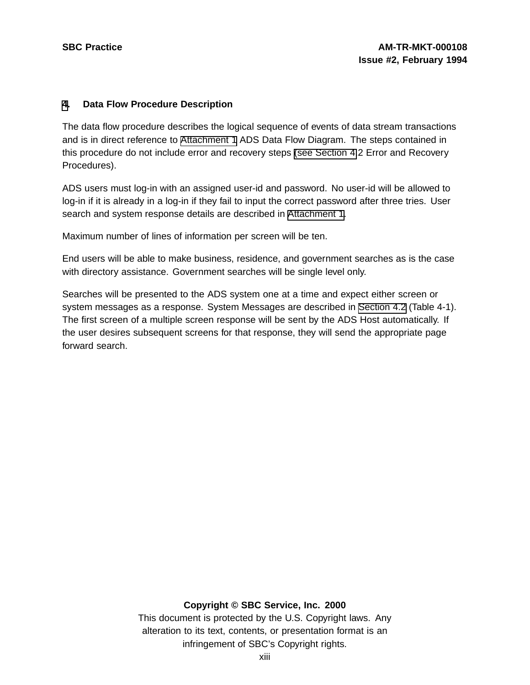#### **[4](#page-12-0). Data Flow Procedure Description**

The data flow procedure describes the logical sequence of events of data stream transactions and is in direct reference to [Attachment](#page-37-0) 1 ADS Data Flow Diagram. The steps contained in this procedure do not include error and recovery steps (see [Section](#page-14-0) 4.2 Error and Recovery Procedures).

ADS users must log-in with an assigned user-id and password. No user-id will be allowed to log-in if it is already in a log-in if they fail to input the correct password after three tries. User search and system response details are described in [Attachment](#page-37-0) 1.

Maximum number of lines of information per screen will be ten.

End users will be able to make business, residence, and government searches as is the case with directory assistance. Government searches will be single level only.

Searches will be presented to the ADS system one at a time and expect either screen or system messages as a response. System Messages are described in [Section](#page-14-0) 4.2 (Table 4-1). The first screen of a multiple screen response will be sent by the ADS Host automatically. If the user desires subsequent screens for that response, they will send the appropriate page forward search.

# <span id="page-12-0"></span>**Copyright © SBC Service, Inc. 2000**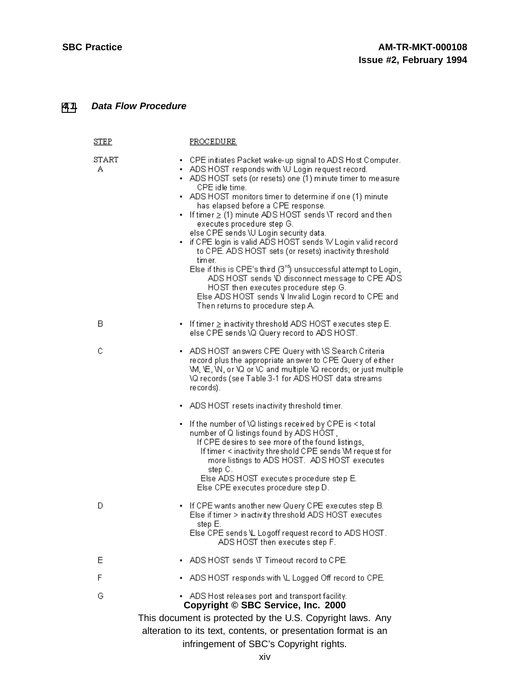# **[4](#page-12-0)[.1](#page-13-0). Data Flow Procedure**

<span id="page-13-0"></span>

| <u>STEP</u> | PROCEDURE                                                                                                                                                                                                                                                                                                                                                                                                                                                                                                                                                                                                                                                                                                                                                                                                                                    |
|-------------|----------------------------------------------------------------------------------------------------------------------------------------------------------------------------------------------------------------------------------------------------------------------------------------------------------------------------------------------------------------------------------------------------------------------------------------------------------------------------------------------------------------------------------------------------------------------------------------------------------------------------------------------------------------------------------------------------------------------------------------------------------------------------------------------------------------------------------------------|
| START<br>Α  | - CPE initiates Packet wake-up signal to ADS Host Computer.<br>• ADS HOST responds with \U Login request record.<br>• ADS HOST sets (or resets) one (1) minute timer to measure<br>CPE idle time.<br>ADS HOST monitors timer to determine if one (1) minute<br>has elapsed before a CPE response.<br>▪ If time $r$ ≥ (1) minute ADS HOST sends \T record and then<br>executes procedure step G.<br>else CPE sends \U Login security data.<br>• if CPE login is valid ADS HOST sends W Login valid record<br>to CPE. ADS HOST sets (or resets) inactivity threshold.<br>timer.<br>Else if this is CPE's third $(3rd)$ unsuccessful attempt to Login,<br>ADS HOST sends \D disconnect message to CPE ADS<br>HOST then executes procedure step G.<br>Else ADS HOST sends V Invalid Login record to CPE and<br>Then returns to procedure step A. |
| в           | - If timer $\geq$ inactivity threshold ADS HOST executes step E.<br>else CPE sends \Q Query record to ADS HOST.                                                                                                                                                                                                                                                                                                                                                                                                                                                                                                                                                                                                                                                                                                                              |
| С           | - ADS HOST answers CPE Query with \S Search Criteria<br>record plus the appropriate answer to CPE Query of either<br>VM, VE, VN, or VQ or VC and multiple VQ records; or just multiple<br>\Q records (see Table 3-1 for ADS HOST data streams<br>re cords).                                                                                                                                                                                                                                                                                                                                                                                                                                                                                                                                                                                  |
|             | - ADS HOST resets inactivity threshold timer.                                                                                                                                                                                                                                                                                                                                                                                                                                                                                                                                                                                                                                                                                                                                                                                                |
|             | • If the number of \Q listings received by CPE is < total<br>number of Q listings found by ADS HOST,<br>If CPE desires to see more of the found listings,<br>If timer < inactivity threshold CPE sends \M request for<br>more listings to ADS HOST. ADS HOST executes<br>step C.<br>Else ADS HOST executes procedure step E.                                                                                                                                                                                                                                                                                                                                                                                                                                                                                                                 |
|             | Else CPE executes procedure step D.                                                                                                                                                                                                                                                                                                                                                                                                                                                                                                                                                                                                                                                                                                                                                                                                          |
| D           | - If CPE wants another new Query CPE executes step B.<br>Else if timer > inactivity threshold ADS HOST executes<br>step E.<br>Else CPE sends \L Logoff request record to ADS HOST.<br>ADS HOST then executes step F.                                                                                                                                                                                                                                                                                                                                                                                                                                                                                                                                                                                                                         |
| Ε           | ADS HOST sends \T Timeout record to CPE.                                                                                                                                                                                                                                                                                                                                                                                                                                                                                                                                                                                                                                                                                                                                                                                                     |
| F           | ADS HOST responds with \L Logged Off record to CPE.                                                                                                                                                                                                                                                                                                                                                                                                                                                                                                                                                                                                                                                                                                                                                                                          |
| G           | ADS Host releases port and transport facility.<br>Copyright © SBC Service, Inc. 2000                                                                                                                                                                                                                                                                                                                                                                                                                                                                                                                                                                                                                                                                                                                                                         |
|             | This document is protected by the U.S. Copyright laws. Any<br>alteration to its text, contents, or presentation format is an<br>infringement of SBC's Copyright rights.                                                                                                                                                                                                                                                                                                                                                                                                                                                                                                                                                                                                                                                                      |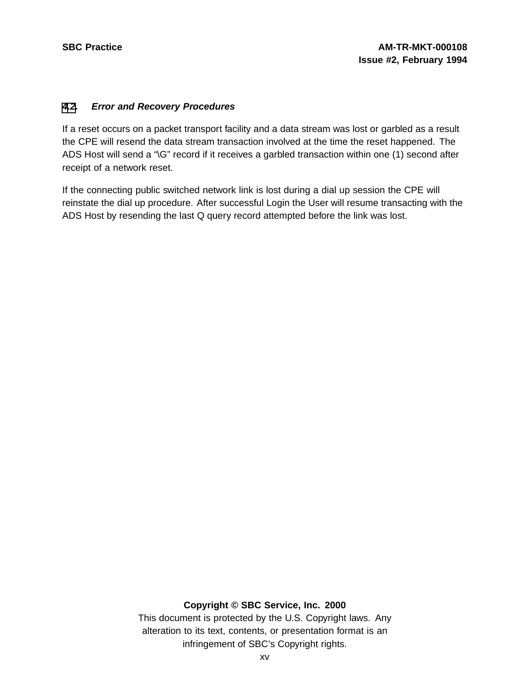# **[4](#page-12-0)[.2](#page-14-0). Error and Recovery Procedures**

If a reset occurs on a packet transport facility and a data stream was lost or garbled as a result the CPE will resend the data stream transaction involved at the time the reset happened. The ADS Host will send a "\G" record if it receives a garbled transaction within one (1) second after receipt of a network reset.

If the connecting public switched network link is lost during a dial up session the CPE will reinstate the dial up procedure. After successful Login the User will resume transacting with the ADS Host by resending the last Q query record attempted before the link was lost.

# <span id="page-14-0"></span>**Copyright © SBC Service, Inc. 2000**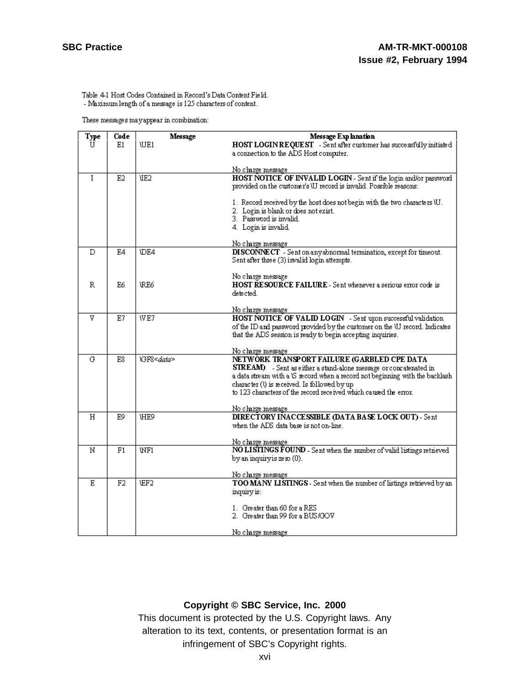Table 4-1 Host Codes Contained in Record's Data Content Field. - Maximum length of a message is  $125$  characters of content.

These messages may appear in combination:

| Type | Code | Message            | Message Explanation                                                                       |
|------|------|--------------------|-------------------------------------------------------------------------------------------|
| U    | E1   | <b>WE1</b>         | HOST LOGIN REQUEST - Sent after customer has successfully initiated                       |
|      |      |                    | a connection to the ADS Host computer.                                                    |
|      |      |                    |                                                                                           |
|      |      |                    | <u>No charge message</u>                                                                  |
| I    | E2   | UE2                | HOST NOTICE OF INVALID LOGIN - Sent if the login and/or password                          |
|      |      |                    | provided on the customer's \U record is invalid. Possible reasons:                        |
|      |      |                    | 1. Record received by the host does not begin with the two characters \U.                 |
|      |      |                    | 2. Login is blank or does not exist.                                                      |
|      |      |                    | 3. Password is invalid.                                                                   |
|      |      |                    | 4. Login is invalid.                                                                      |
|      |      |                    |                                                                                           |
|      |      |                    | No charge message                                                                         |
| Đ    | E4   | <b>IDE4</b>        | DISCONNECT - Sent on any abnormal termination, except for timeout.                        |
|      |      |                    | Sent after three (3) invalid login attempts.                                              |
|      |      |                    |                                                                                           |
| R    | E6   | <b>RE6</b>         | No charge message<br><b>HOST RESOURCE FAILURE</b> - Sent whenever a serious error code is |
|      |      |                    | detected.                                                                                 |
|      |      |                    |                                                                                           |
|      |      |                    | <u>No charge message</u>                                                                  |
| v    | E7   | WE7                | HOST NOTICE OF VALID LOGIN - Sent upon successful validation                              |
|      |      |                    | of the ID and password provided by the customer on the UJ record. Indicates               |
|      |      |                    | that the ADS session is ready to begin accepting inquiries.                               |
|      |      |                    | No charge message                                                                         |
| G    | E8   | \GF8 <data></data> | NETWORK TRANSPORT FAILURE (GARBLED CPE DATA                                               |
|      |      |                    | <b>STREAM</b> ) - Sent as either a stand-alone message or concatenated in                 |
|      |      |                    | a data stream with a <i>S</i> record when a record not beginning with the backlash        |
|      |      |                    | character ()) is received. Is followed by up                                              |
|      |      |                    | to 123 characters of the record received which caused the error.                          |
|      |      |                    |                                                                                           |
| Η    | E9   | <b>HE9</b>         | No charge message<br>DIRECTORY INACCESSIBLE (DATA BASE LOCK OUT) - Sent                   |
|      |      |                    | when the ADS data base is not on-line.                                                    |
|      |      |                    |                                                                                           |
|      |      |                    | No charge message                                                                         |
| N    | F1   | WF1                | NO LISTINGS FOUND - Sent when the number of valid listings retrieved                      |
|      |      |                    | by an inquiry is ze ro (0).                                                               |
|      |      |                    |                                                                                           |
| E.   | F2   | \EF2               | <u>No charge message</u>                                                                  |
|      |      |                    | TOO MANY LISTINGS - Sent when the number of listings retrieved by an<br>inquiry is:       |
|      |      |                    |                                                                                           |
|      |      |                    | 1. Greater than 60 for a RES                                                              |
|      |      |                    | 2. Greater than 99 for a BUS/GOV                                                          |
|      |      |                    |                                                                                           |
|      |      |                    | No charge message                                                                         |

# **Copyright © SBC Service, Inc. 2000**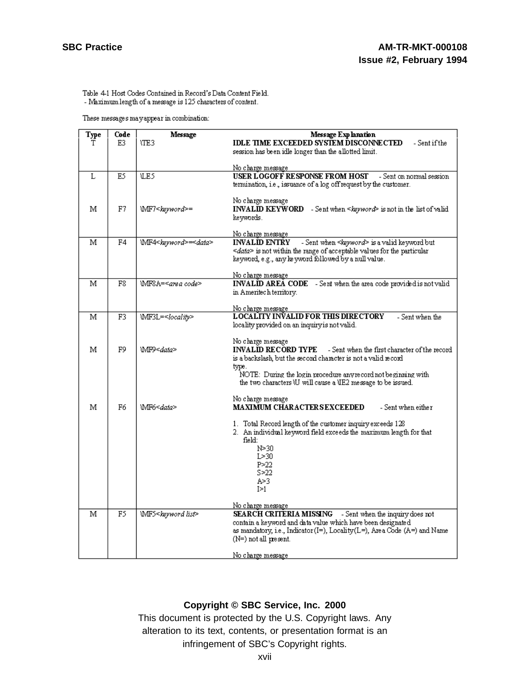Table 4-1 Host Codes Contained in Record's Data Content Field.

- Maximum length of a message is 125 characters of content.

These messages may appear in combination:

| Туре | Code | Message                               | Message Explanation                                                                  |
|------|------|---------------------------------------|--------------------------------------------------------------------------------------|
| Т    | E3.  | VTE 3                                 | <b>IDLE TIME EXCEEDED SYSTEM DISCONNECTED</b><br>- Sent if the                       |
|      |      |                                       | session has been idle longer than the allotted limit.                                |
|      |      |                                       |                                                                                      |
|      |      |                                       | <u>No charge message</u>                                                             |
| L    | E5   | <b>UE5</b>                            | USER LOGOFF RESPONSE FROM HOST<br>- Sent on normal session                           |
|      |      |                                       | termination, i.e., issuance of a log off request by the customer.                    |
|      |      |                                       |                                                                                      |
|      |      |                                       | No charge message                                                                    |
| м    | F7   | \MF7 <keyword>=</keyword>             | <b>INVALID KEYWORD</b> - Sent when <keyword> is not in the list of valid</keyword>   |
|      |      |                                       | keywords.                                                                            |
|      |      |                                       |                                                                                      |
|      |      |                                       | No charge message                                                                    |
| м    | F4   | WF4 <keyword>=<data></data></keyword> | <b>INVALID ENTRY</b><br>- Sent when <keyword> is a valid keyword but</keyword>       |
|      |      |                                       | $\leq$ <i>data</i> > is not within the range of acceptable values for the particular |
|      |      |                                       | keyword, e.g., any keyword followed by a null value.                                 |
|      |      |                                       |                                                                                      |
|      |      |                                       | <u>No charge message</u>                                                             |
| м    | F8   | WF8A= <area code=""/>                 | <b>INVALID AREA CODE</b> - Sent when the area code provided is not valid             |
|      |      |                                       | in Ameritech territory.                                                              |
|      |      |                                       |                                                                                      |
|      |      |                                       | No charge message                                                                    |
| М    | F3   | WF3L= <locality></locality>           | <b>LOCALITY INVALID FOR THIS DIRECTORY</b><br>- Sent when the                        |
|      |      |                                       | locality provided on an inquiry is not valid.                                        |
|      |      |                                       |                                                                                      |
|      |      |                                       | No charge message                                                                    |
| м    | F9   | WF9< <i>data</i> >                    | <b>INVALID RECORD TYPE</b><br>- Sent when the first character of the record          |
|      |      |                                       | is a backslash, but the second character is not a valid record                       |
|      |      |                                       | type.                                                                                |
|      |      |                                       | NOTE: During the login procedure any record not beginning with                       |
|      |      |                                       | the two characters \U will cause a \IE2 message to be issued.                        |
|      |      |                                       |                                                                                      |
|      |      |                                       | No charge message                                                                    |
| м    | F6   | WF6≤ <i>data&gt;</i>                  | <b>MAXIMUM CHARACTERSEXCEEDED</b><br>- Sent when either                              |
|      |      |                                       |                                                                                      |
|      |      |                                       | 1. Total Record length of the customer inquiry exceeds 128                           |
|      |      |                                       | 2. An individual keyword field exceeds the maximum length for that                   |
|      |      |                                       | field:                                                                               |
|      |      |                                       | N>30                                                                                 |
|      |      |                                       | L > 30                                                                               |
|      |      |                                       | P>22                                                                                 |
|      |      |                                       | S>22                                                                                 |
|      |      |                                       | A>3                                                                                  |
|      |      |                                       | I≥1.                                                                                 |
|      |      |                                       | <u>No charge message</u>                                                             |
| М    | F5   | WIF5 <keyword list=""></keyword>      | <b>SEARCH CRITERIA MISSING</b> - Sent when the inquiry does not                      |
|      |      |                                       | contain a keyword and data value which have been designated                          |
|      |      |                                       | as mandatory, i.e., Indicator (I=), Locality (L=), Area Code (A=) and Name           |
|      |      |                                       | (N=) not all present.                                                                |
|      |      |                                       |                                                                                      |
|      |      |                                       | No charge message.                                                                   |

# **Copyright © SBC Service, Inc. 2000**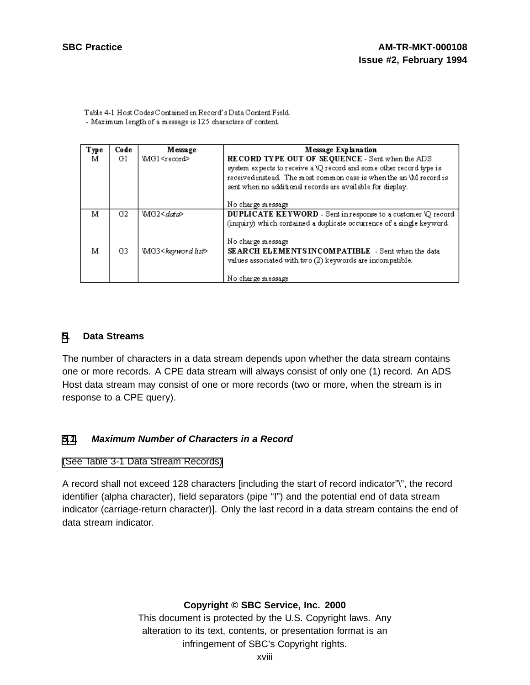Table 4-1 Host Codes Contained in Record's Data Content Field. - Maximum length of a message is 125 characters of content.

| Туре<br>м | Code<br>G1 | Message<br>\MG1 <record></record>              | Message Explanation<br>RECORD TYPE OUT OF SEQUENCE - Sent when the ADS<br>system expects to receive a \Q record and some other record type is<br>received instead. The most common case is when the an WI record is<br>sent when no additional records are available for display.<br>No charge message |
|-----------|------------|------------------------------------------------|--------------------------------------------------------------------------------------------------------------------------------------------------------------------------------------------------------------------------------------------------------------------------------------------------------|
| м<br>м    | G2<br>G3   | \MG2≤data><br>\MG3 <keyword list=""></keyword> | DUPLICATE KEYWORD - Sent in response to a customer \Q record<br>(inquiry) which contained a duplicate occurrence of a single keyword.<br>No charge message<br>SEARCH ELEMENTS INCOMPATIBLE - Sent when the data<br>values associated with two (2) keywords are incompatible.                           |
|           |            |                                                | No charge message                                                                                                                                                                                                                                                                                      |

# **[5](#page-17-0). Data Streams**

The number of characters in a data stream depends upon whether the data stream contains one or more records. A CPE data stream will always consist of only one (1) record. An ADS Host data stream may consist of one or more records (two or more, when the stream is in response to a CPE query).

#### **[5.1](#page-17-0). Maximum Number of Characters in a Record**

(See Table 3-1 Data Stream [Records\)](#page-8-0)

A record shall not exceed 128 characters [including the start of record indicator"\", the record identifier (alpha character), field separators (pipe "I") and the potential end of data stream indicator (carriage-return character)]. Only the last record in a data stream contains the end of data stream indicator.

# <span id="page-17-0"></span>**Copyright © SBC Service, Inc. 2000**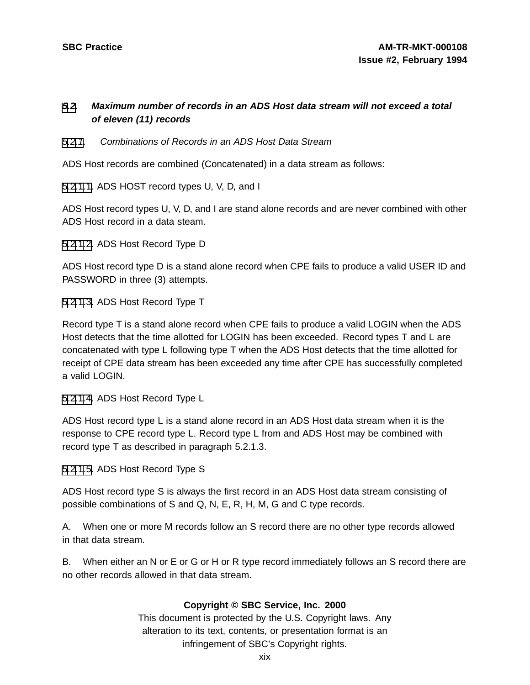# **[5](#page-17-0)[.2](#page-18-0). Maximum number of records in an ADS Host data stream will not exceed a total of eleven (11) records**

# [5](#page-17-0)[.2.1](#page-18-0). Combinations of Records in an ADS Host Data Stream

ADS Host records are combined (Concatenated) in a data stream as follows:

[5](#page-17-0)[.2.1.1.](#page-18-0) ADS HOST record types U, V, D, and I

ADS Host record types U, V, D, and I are stand alone records and are never combined with other ADS Host record in a data steam.

[5](#page-17-0)[.2.1.2.](#page-18-0) ADS Host Record Type D

ADS Host record type D is a stand alone record when CPE fails to produce a valid USER ID and PASSWORD in three (3) attempts.

[5](#page-17-0)[.2.1.3.](#page-18-0) ADS Host Record Type T

Record type T is a stand alone record when CPE fails to produce a valid LOGIN when the ADS Host detects that the time allotted for LOGIN has been exceeded. Record types T and L are concatenated with type L following type T when the ADS Host detects that the time allotted for receipt of CPE data stream has been exceeded any time after CPE has successfully completed a valid LOGIN.

[5](#page-17-0)[.2.1.4.](#page-18-0) ADS Host Record Type L

ADS Host record type L is a stand alone record in an ADS Host data stream when it is the response to CPE record type L. Record type L from and ADS Host may be combined with record type T as described in paragraph 5.2.1.3.

[5](#page-17-0)[.2.1.5.](#page-18-0) ADS Host Record Type S

ADS Host record type S is always the first record in an ADS Host data stream consisting of possible combinations of S and Q, N, E, R, H, M, G and C type records.

A. When one or more M records follow an S record there are no other type records allowed in that data stream.

<span id="page-18-0"></span>B. When either an N or E or G or H or R type record immediately follows an S record there are no other records allowed in that data stream.

# **Copyright © SBC Service, Inc. 2000**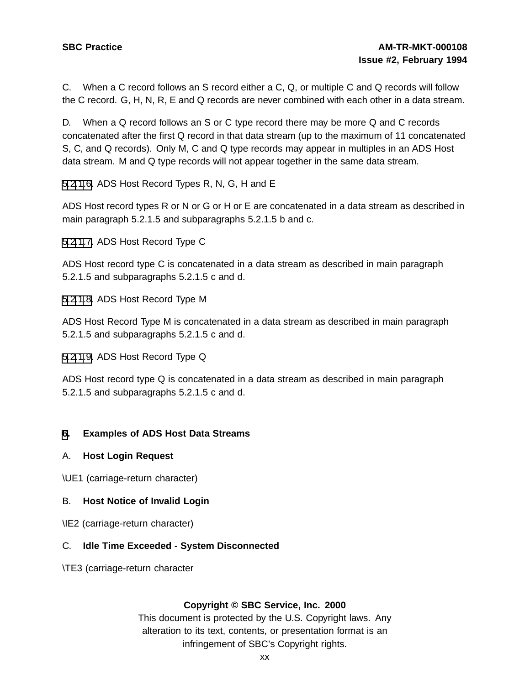C. When a C record follows an S record either a C, Q, or multiple C and Q records will follow the C record. G, H, N, R, E and Q records are never combined with each other in a data stream.

D. When a Q record follows an S or C type record there may be more Q and C records concatenated after the first Q record in that data stream (up to the maximum of 11 concatenated S, C, and Q records). Only M, C and Q type records may appear in multiples in an ADS Host data stream. M and Q type records will not appear together in the same data stream.

[5](#page-17-0)[.2.1](#page-18-0)[.6.](#page-19-0) ADS Host Record Types R, N, G, H and E

ADS Host record types R or N or G or H or E are concatenated in a data stream as described in main paragraph 5.2.1.5 and subparagraphs 5.2.1.5 b and c.

[5](#page-17-0)[.2.1](#page-18-0)[.7.](#page-19-0) ADS Host Record Type C

ADS Host record type C is concatenated in a data stream as described in main paragraph 5.2.1.5 and subparagraphs 5.2.1.5 c and d.

[5](#page-17-0)[.2.1](#page-18-0)[.8.](#page-19-0) ADS Host Record Type M

ADS Host Record Type M is concatenated in a data stream as described in main paragraph 5.2.1.5 and subparagraphs 5.2.1.5 c and d.

[5](#page-17-0)[.2.1](#page-18-0)[.9.](#page-19-0) ADS Host Record Type Q

ADS Host record type Q is concatenated in a data stream as described in main paragraph 5.2.1.5 and subparagraphs 5.2.1.5 c and d.

# **[6](#page-19-0). Examples of ADS Host Data Streams**

#### A. **Host Login Request**

\UE1 (carriage-return character)

#### B. **Host Notice of Invalid Login**

\IE2 (carriage-return character)

#### C. **Idle Time Exceeded - System Disconnected**

<span id="page-19-0"></span>\TE3 (carriage-return character

# **Copyright © SBC Service, Inc. 2000**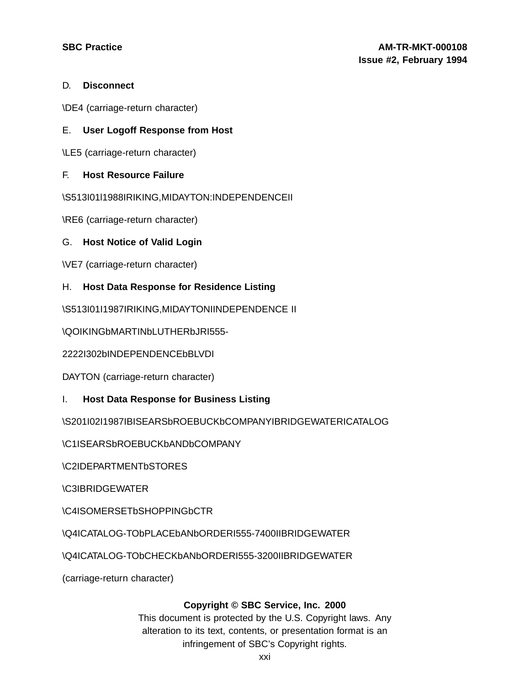# D. **Disconnect**

\DE4 (carriage-return character)

# E. **User Logoff Response from Host**

\LE5 (carriage-return character)

# F. **Host Resource Failure**

\S513I01l1988IRIKING,MIDAYTON:INDEPENDENCEII

\RE6 (carriage-return character)

# G. **Host Notice of Valid Login**

\VE7 (carriage-return character)

# H. **Host Data Response for Residence Listing**

\S513I01I1987IRIKING,MIDAYTONIINDEPENDENCE II

\QOIKINGbMARTINbLUTHERbJRI555-

2222I302bINDEPENDENCEbBLVDI

DAYTON (carriage-return character)

I. **Host Data Response for Business Listing**

\S201I02I1987IBISEARSbROEBUCKbCOMPANYIBRIDGEWATERICATALOG

\C1ISEARSbROEBUCKbANDbCOMPANY

\C2IDEPARTMENTbSTORES

\C3IBRIDGEWATER

\C4ISOMERSETbSHOPPINGbCTR

\Q4ICATALOG-TObPLACEbANbORDERI555-7400IIBRIDGEWATER

\Q4ICATALOG-TObCHECKbANbORDERI555-3200IIBRIDGEWATER

(carriage-return character)

#### **Copyright © SBC Service, Inc. 2000**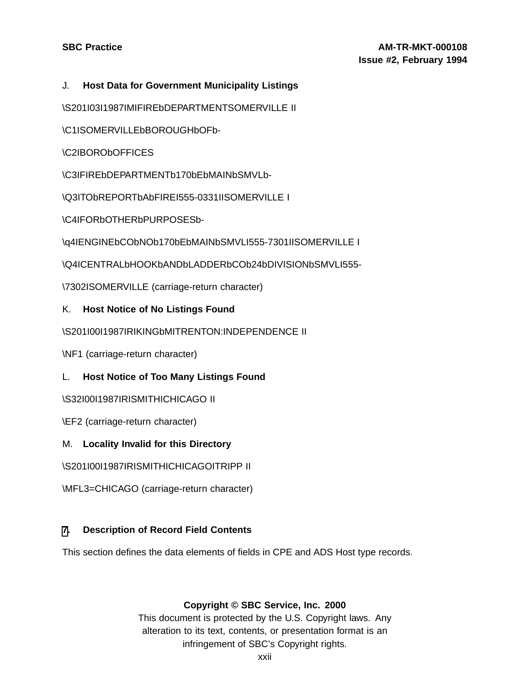# J. **Host Data for Government Municipality Listings**

\S201I03I1987IMIFIREbDEPARTMENTSOMERVILLE II

\C1ISOMERVILLEbBOROUGHbOFb-

\C2IBORObOFFICES

\C3IFIREbDEPARTMENTb170bEbMAINbSMVLb-

\Q3ITObREPORTbAbFIREI555-0331IISOMERVILLE I

\C4IFORbOTHERbPURPOSESb-

\q4IENGINEbCObNOb170bEbMAINbSMVLI555-7301IISOMERVILLE I

\Q4ICENTRALbHOOKbANDbLADDERbCOb24bDIVISIONbSMVLI555-

\7302ISOMERVILLE (carriage-return character)

# K. **Host Notice of No Listings Found**

\S201I00I1987IRIKINGbMITRENTON:INDEPENDENCE II

\NF1 (carriage-return character)

L. **Host Notice of Too Many Listings Found**

\S32I00I1987IRISMITHICHICAGO II

- \EF2 (carriage-return character)
- M. **Locality Invalid for this Directory**

\S201I00I1987IRISMITHICHICAGOITRIPP II

\MFL3=CHICAGO (carriage-return character)

# **[7](#page-21-0). Description of Record Field Contents**

<span id="page-21-0"></span>This section defines the data elements of fields in CPE and ADS Host type records.

# **Copyright © SBC Service, Inc. 2000**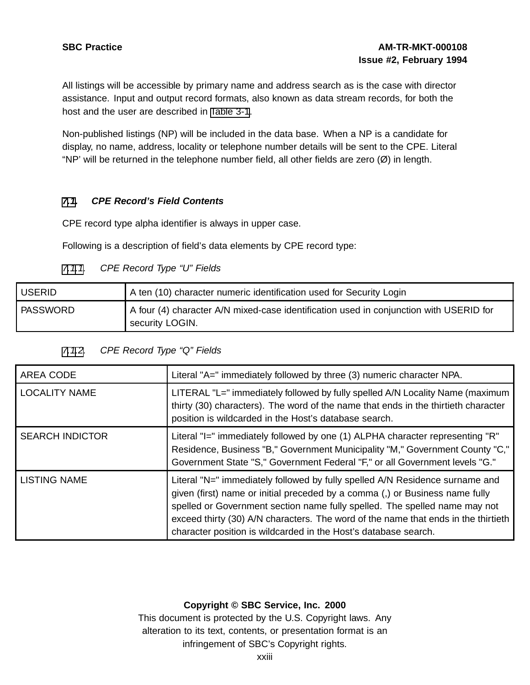All listings will be accessible by primary name and address search as is the case with director assistance. Input and output record formats, also known as data stream records, for both the host and the user are described in [Table](#page-8-0) 3-1.

Non-published listings (NP) will be included in the data base. When a NP is a candidate for display, no name, address, locality or telephone number details will be sent to the CPE. Literal "NP' will be returned in the telephone number field, all other fields are zero  $(\emptyset)$  in length.

# **[7](#page-21-0)[.1](#page-22-0). CPE Record's Field Contents**

CPE record type alpha identifier is always in upper case.

Following is a description of field's data elements by CPE record type:

# [7](#page-21-0)[.1.1](#page-22-0). CPE Record Type "U" Fields

| <b>USERID</b>   | A ten (10) character numeric identification used for Security Login                                       |
|-----------------|-----------------------------------------------------------------------------------------------------------|
| <b>PASSWORD</b> | A four (4) character A/N mixed-case identification used in conjunction with USERID for<br>security LOGIN. |

|  |  | 7.1.2. CPE Record Type "Q" Fields |  |  |  |
|--|--|-----------------------------------|--|--|--|
|--|--|-----------------------------------|--|--|--|

| AREA CODE              | Literal "A=" immediately followed by three (3) numeric character NPA.                                                                                                                                                                                                                                                                                                                               |
|------------------------|-----------------------------------------------------------------------------------------------------------------------------------------------------------------------------------------------------------------------------------------------------------------------------------------------------------------------------------------------------------------------------------------------------|
| <b>LOCALITY NAME</b>   | LITERAL "L=" immediately followed by fully spelled A/N Locality Name (maximum<br>thirty (30) characters). The word of the name that ends in the thirtieth character<br>position is wildcarded in the Host's database search.                                                                                                                                                                        |
| <b>SEARCH INDICTOR</b> | Literal "I=" immediately followed by one (1) ALPHA character representing "R"<br>Residence, Business "B," Government Municipality "M," Government County "C,"<br>Government State "S," Government Federal "F," or all Government levels "G."                                                                                                                                                        |
| <b>LISTING NAME</b>    | Literal "N=" immediately followed by fully spelled A/N Residence surname and<br>given (first) name or initial preceded by a comma (,) or Business name fully<br>spelled or Government section name fully spelled. The spelled name may not<br>exceed thirty (30) A/N characters. The word of the name that ends in the thirtieth<br>character position is wildcarded in the Host's database search. |

# <span id="page-22-0"></span>**Copyright © SBC Service, Inc. 2000**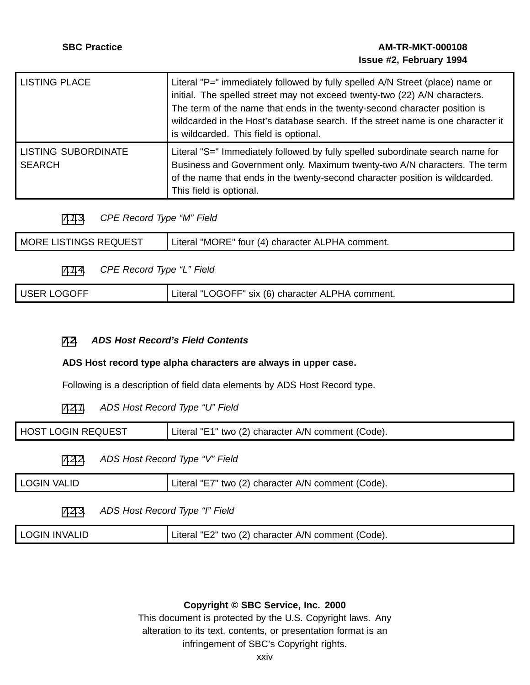| <b>LISTING PLACE</b>                        | Literal "P=" immediately followed by fully spelled A/N Street (place) name or<br>initial. The spelled street may not exceed twenty-two (22) A/N characters.<br>The term of the name that ends in the twenty-second character position is<br>wildcarded in the Host's database search. If the street name is one character it<br>is wildcarded. This field is optional. |
|---------------------------------------------|------------------------------------------------------------------------------------------------------------------------------------------------------------------------------------------------------------------------------------------------------------------------------------------------------------------------------------------------------------------------|
| <b>LISTING SUBORDINATE</b><br><b>SEARCH</b> | Literal "S=" Immediately followed by fully spelled subordinate search name for<br>Business and Government only. Maximum twenty-two A/N characters. The term<br>of the name that ends in the twenty-second character position is wildcarded.<br>This field is optional.                                                                                                 |

[7](#page-21-0)[.1](#page-22-0)[.3](#page-23-0). CPE Record Type "M" Field

| :QUEST<br><b>MORE LISTINGS REQ</b> | "MORE" four (4) character ALPHA<br>.iteral<br>comment. |
|------------------------------------|--------------------------------------------------------|
|                                    |                                                        |

[7](#page-21-0)[.1](#page-22-0)[.4](#page-23-0). CPE Record Type "L" Field

|  | <b>USER LOGOFF</b> | Literal "LOGOFF" six (6) character ALPHA comment. |
|--|--------------------|---------------------------------------------------|
|--|--------------------|---------------------------------------------------|

# **[7](#page-21-0)[.2](#page-23-0). ADS Host Record's Field Contents**

# **ADS Host record type alpha characters are always in upper case.**

Following is a description of field data elements by ADS Host Record type.

[7](#page-21-0)[.2.1](#page-23-0). ADS Host Record Type "U" Field

| HOST LOGIN REQUEST | Literal "E1" two (2) character A/N comment (Code). |
|--------------------|----------------------------------------------------|
|                    | ADS Host Record Type "V" Field                     |

| <b>LOGIN VALID</b><br>" two (2) character A/N comment (Code).<br>Literal |
|--------------------------------------------------------------------------|
|--------------------------------------------------------------------------|

# [7](#page-21-0)[.2.3](#page-23-0). ADS Host Record Type "I" Field

<span id="page-23-0"></span>

| <b>LOGIN</b>   | "E2" two (2) character A/N comment (Code). |
|----------------|--------------------------------------------|
| <b>INVALID</b> | Lıteral                                    |

# **Copyright © SBC Service, Inc. 2000**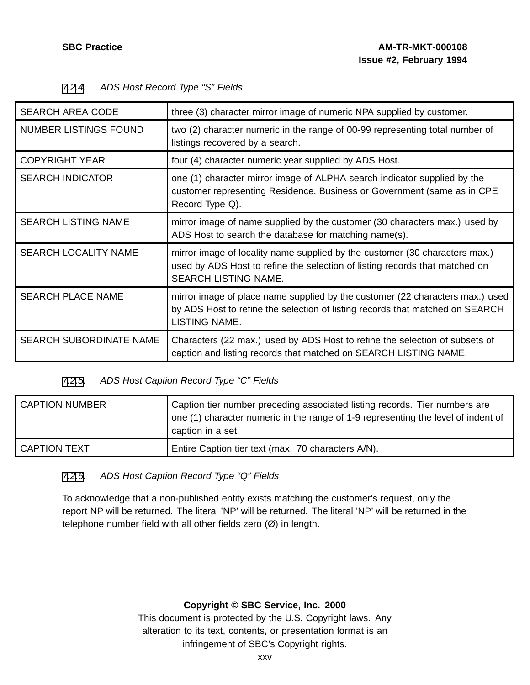| <b>SEARCH AREA CODE</b>        | three (3) character mirror image of numeric NPA supplied by customer.                                                                                                              |
|--------------------------------|------------------------------------------------------------------------------------------------------------------------------------------------------------------------------------|
| <b>NUMBER LISTINGS FOUND</b>   | two (2) character numeric in the range of 00-99 representing total number of<br>listings recovered by a search.                                                                    |
| <b>COPYRIGHT YEAR</b>          | four (4) character numeric year supplied by ADS Host.                                                                                                                              |
| <b>SEARCH INDICATOR</b>        | one (1) character mirror image of ALPHA search indicator supplied by the<br>customer representing Residence, Business or Government (same as in CPE<br>Record Type Q).             |
| <b>SEARCH LISTING NAME</b>     | mirror image of name supplied by the customer (30 characters max.) used by<br>ADS Host to search the database for matching name(s).                                                |
| <b>SEARCH LOCALITY NAME</b>    | mirror image of locality name supplied by the customer (30 characters max.)<br>used by ADS Host to refine the selection of listing records that matched on<br>SEARCH LISTING NAME. |
| <b>SEARCH PLACE NAME</b>       | mirror image of place name supplied by the customer (22 characters max.) used<br>by ADS Host to refine the selection of listing records that matched on SEARCH<br>LISTING NAME.    |
| <b>SEARCH SUBORDINATE NAME</b> | Characters (22 max.) used by ADS Host to refine the selection of subsets of<br>caption and listing records that matched on SEARCH LISTING NAME.                                    |

# [7](#page-21-0)[.2](#page-23-0)[.4](#page-24-0). ADS Host Record Type "S" Fields

# [7](#page-21-0)[.2](#page-23-0)[.5](#page-24-0). ADS Host Caption Record Type "C" Fields

| <b>CAPTION NUMBER</b> | Caption tier number preceding associated listing records. Tier numbers are<br>one (1) character numeric in the range of 1-9 representing the level of indent of<br>caption in a set. |
|-----------------------|--------------------------------------------------------------------------------------------------------------------------------------------------------------------------------------|
| <b>CAPTION TEXT</b>   | Entire Caption tier text (max. 70 characters A/N).                                                                                                                                   |

# [7](#page-21-0)[.2](#page-23-0)[.6](#page-24-0). ADS Host Caption Record Type "Q" Fields

<span id="page-24-0"></span>To acknowledge that a non-published entity exists matching the customer's request, only the report NP will be returned. The literal 'NP' will be returned. The literal 'NP' will be returned in the telephone number field with all other fields zero (Ø) in length.

# **Copyright © SBC Service, Inc. 2000**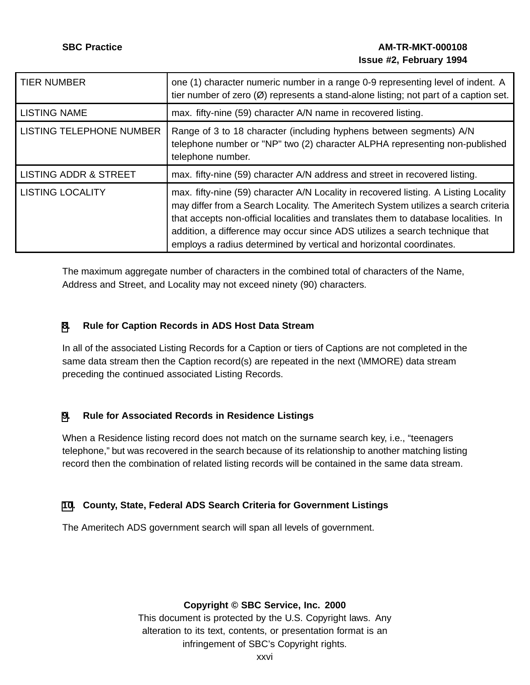| <b>TIER NUMBER</b>               | one (1) character numeric number in a range 0-9 representing level of indent. A<br>tier number of zero $(\emptyset)$ represents a stand-alone listing; not part of a caption set.                                                                                                                                                                                                                                       |  |  |
|----------------------------------|-------------------------------------------------------------------------------------------------------------------------------------------------------------------------------------------------------------------------------------------------------------------------------------------------------------------------------------------------------------------------------------------------------------------------|--|--|
| <b>LISTING NAME</b>              | max. fifty-nine (59) character A/N name in recovered listing.                                                                                                                                                                                                                                                                                                                                                           |  |  |
| <b>LISTING TELEPHONE NUMBER</b>  | Range of 3 to 18 character (including hyphens between segments) A/N<br>telephone number or "NP" two (2) character ALPHA representing non-published<br>telephone number.                                                                                                                                                                                                                                                 |  |  |
| <b>LISTING ADDR &amp; STREET</b> | max. fifty-nine (59) character A/N address and street in recovered listing.                                                                                                                                                                                                                                                                                                                                             |  |  |
| <b>LISTING LOCALITY</b>          | max. fifty-nine (59) character A/N Locality in recovered listing. A Listing Locality<br>may differ from a Search Locality. The Ameritech System utilizes a search criteria<br>that accepts non-official localities and translates them to database localities. In<br>addition, a difference may occur since ADS utilizes a search technique that<br>employs a radius determined by vertical and horizontal coordinates. |  |  |

The maximum aggregate number of characters in the combined total of characters of the Name, Address and Street, and Locality may not exceed ninety (90) characters.

# **[8](#page-25-0). Rule for Caption Records in ADS Host Data Stream**

In all of the associated Listing Records for a Caption or tiers of Captions are not completed in the same data stream then the Caption record(s) are repeated in the next (\MMORE) data stream preceding the continued associated Listing Records.

# **[9](#page-25-0). Rule for Associated Records in Residence Listings**

When a Residence listing record does not match on the surname search key, i.e., "teenagers telephone," but was recovered in the search because of its relationship to another matching listing record then the combination of related listing records will be contained in the same data stream.

# **[10](#page-25-0). County, State, Federal ADS Search Criteria for Government Listings**

<span id="page-25-0"></span>The Ameritech ADS government search will span all levels of government.

# **Copyright © SBC Service, Inc. 2000**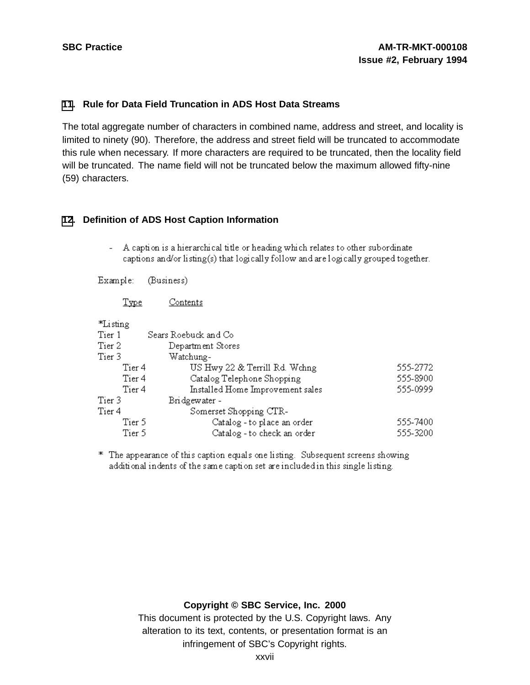#### **[11](#page-26-0). Rule for Data Field Truncation in ADS Host Data Streams**

The total aggregate number of characters in combined name, address and street, and locality is limited to ninety (90). Therefore, the address and street field will be truncated to accommodate this rule when necessary. If more characters are required to be truncated, then the locality field will be truncated. The name field will not be truncated below the maximum allowed fifty-nine (59) characters.

#### **[12](#page-26-0). Definition of ADS Host Caption Information**

- A caption is a hierarchical title or heading which relates to other subordinate captions and/or listing(s) that logically follow and are logically grouped together.

Example: (Business)

> Contents Type

special control

| "Li sung                    |                                  |          |
|-----------------------------|----------------------------------|----------|
| Tier 1                      | Sears Roebuck and Co             |          |
| Tier 2<br>Department Stores |                                  |          |
| Tier 3                      | Watchung-                        |          |
| Tier <sub>4</sub>           | US Hwy 22 & Terrill Rd. Wchng    | 555-2772 |
| Tier 4                      | Catalog Telephone Shopping       | 555-8900 |
| Tier 4                      | Installed Home Improvement sales | 555-0999 |
| Tier 3                      | Bridgewater-                     |          |
| Tier 4                      | Somerset Shopping CTR-           |          |
| Tier 5                      | Catalog - to place an order      | 555-7400 |
| Tier 5                      | Catalog - to check an order      | 555-3200 |
|                             |                                  |          |

\* The appearance of this caption equals one listing. Subsequent screens showing additional indents of the same caption set are included in this single listing.

# <span id="page-26-0"></span>**Copyright © SBC Service, Inc. 2000**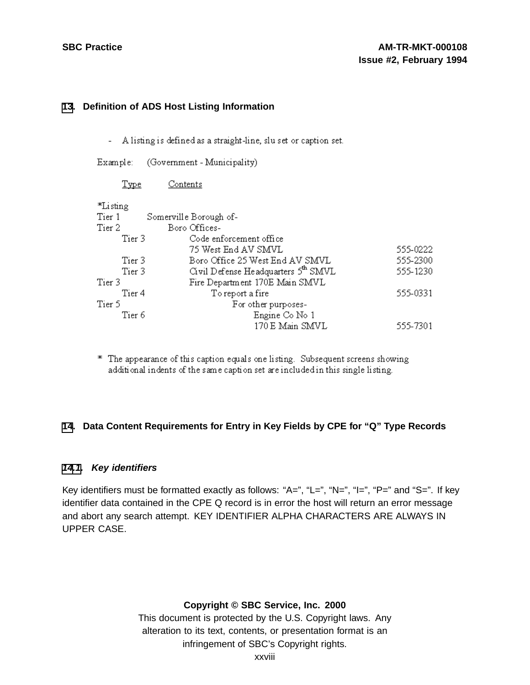#### **[13](#page-27-0). Definition of ADS Host Listing Information**

- A listing is defined as a straight-line, slu set or caption set.
- Example: (Government Municipality)

| <b>Type</b>                                   | Contents                        |          |
|-----------------------------------------------|---------------------------------|----------|
| *Listing                                      |                                 |          |
| Tier 1                                        | Somerville Borough of-          |          |
| Tier 2                                        | Boro Offices-                   |          |
| Tier 3                                        | Code enforcement office         |          |
|                                               | 75 West End AV SMVL             | 555-0222 |
| Tier 3                                        | Boro Office 25 West End AV SMVL | 555-2300 |
| Civil Defense Headquarters 5th SMVL<br>Tier 3 |                                 | 555-1230 |
| Tier 3                                        | Fire Department 170E Main SMVL  |          |
| Tier 4                                        | To report a fire                | 555-0331 |
| Tier 5                                        | For other purposes-             |          |
| Tier 6                                        | Engine Co No 1                  |          |
|                                               | 170 E Main SMVL                 | 555-7301 |

\* The appearance of this caption equals one listing. Subsequent screens showing additional indents of the same caption set are included in this single listing.

# **[14](#page-27-0). Data Content Requirements for Entry in Key Fields by CPE for "Q" Type Records**

# **[14.1](#page-27-0). Key identifiers**

Key identifiers must be formatted exactly as follows: "A=", "L=", "N=", "l=", "P=" and "S=". If key identifier data contained in the CPE Q record is in error the host will return an error message and abort any search attempt. KEY IDENTIFIER ALPHA CHARACTERS ARE ALWAYS IN UPPER CASE.

# <span id="page-27-0"></span>**Copyright © SBC Service, Inc. 2000**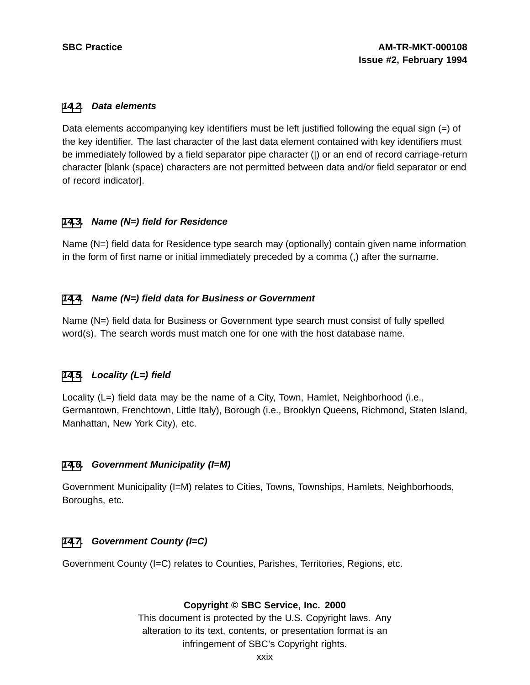#### **[14](#page-27-0)[.2](#page-28-0). Data elements**

Data elements accompanying key identifiers must be left justified following the equal sign (=) of the key identifier. The last character of the last data element contained with key identifiers must be immediately followed by a field separator pipe character (|) or an end of record carriage-return character [blank (space) characters are not permitted between data and/or field separator or end of record indicator].

# **[14](#page-27-0)[.3](#page-28-0). Name (N=) field for Residence**

Name (N=) field data for Residence type search may (optionally) contain given name information in the form of first name or initial immediately preceded by a comma (,) after the surname.

# **[14](#page-27-0)[.4](#page-28-0). Name (N=) field data for Business or Government**

Name (N=) field data for Business or Government type search must consist of fully spelled word(s). The search words must match one for one with the host database name.

# **[14](#page-27-0)[.5](#page-28-0). Locality (L=) field**

Locality (L=) field data may be the name of a City, Town, Hamlet, Neighborhood (i.e., Germantown, Frenchtown, Little Italy), Borough (i.e., Brooklyn Queens, Richmond, Staten Island, Manhattan, New York City), etc.

# **[14](#page-27-0)[.6](#page-28-0). Government Municipality (I=M)**

Government Municipality (I=M) relates to Cities, Towns, Townships, Hamlets, Neighborhoods, Boroughs, etc.

# **[14](#page-27-0)[.7](#page-28-0). Government County (I=C)**

<span id="page-28-0"></span>Government County (I=C) relates to Counties, Parishes, Territories, Regions, etc.

# **Copyright © SBC Service, Inc. 2000**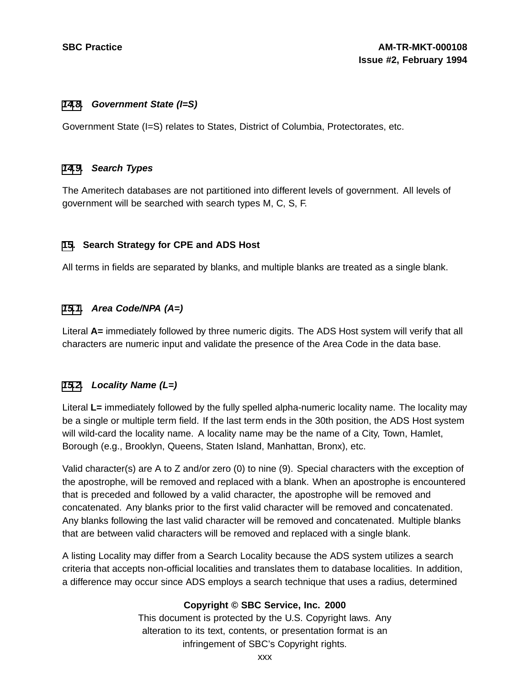#### **[14](#page-27-0)[.8](#page-29-0). Government State (I=S)**

Government State (I=S) relates to States, District of Columbia, Protectorates, etc.

#### **[14](#page-27-0)[.9](#page-29-0). Search Types**

The Ameritech databases are not partitioned into different levels of government. All levels of government will be searched with search types M, C, S, F.

# **[15](#page-29-0). Search Strategy for CPE and ADS Host**

All terms in fields are separated by blanks, and multiple blanks are treated as a single blank.

# **[15.1](#page-29-0). Area Code/NPA (A=)**

Literal **A=** immediately followed by three numeric digits. The ADS Host system will verify that all characters are numeric input and validate the presence of the Area Code in the data base.

# **[15.2](#page-29-0). Locality Name (L=)**

Literal **L=** immediately followed by the fully spelled alpha-numeric locality name. The locality may be a single or multiple term field. If the last term ends in the 30th position, the ADS Host system will wild-card the locality name. A locality name may be the name of a City, Town, Hamlet, Borough (e.g., Brooklyn, Queens, Staten Island, Manhattan, Bronx), etc.

Valid character(s) are A to Z and/or zero (0) to nine (9). Special characters with the exception of the apostrophe, will be removed and replaced with a blank. When an apostrophe is encountered that is preceded and followed by a valid character, the apostrophe will be removed and concatenated. Any blanks prior to the first valid character will be removed and concatenated. Any blanks following the last valid character will be removed and concatenated. Multiple blanks that are between valid characters will be removed and replaced with a single blank.

<span id="page-29-0"></span>A listing Locality may differ from a Search Locality because the ADS system utilizes a search criteria that accepts non-official localities and translates them to database localities. In addition, a difference may occur since ADS employs a search technique that uses a radius, determined

# **Copyright © SBC Service, Inc. 2000**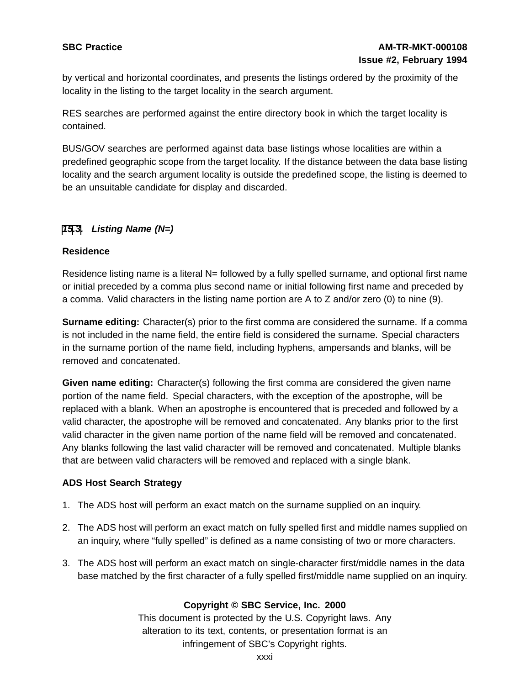by vertical and horizontal coordinates, and presents the listings ordered by the proximity of the locality in the listing to the target locality in the search argument.

RES searches are performed against the entire directory book in which the target locality is contained.

BUS/GOV searches are performed against data base listings whose localities are within a predefined geographic scope from the target locality. If the distance between the data base listing locality and the search argument locality is outside the predefined scope, the listing is deemed to be an unsuitable candidate for display and discarded.

# **[15](#page-29-0)[.3](#page-30-0). Listing Name (N=)**

#### **Residence**

Residence listing name is a literal N= followed by a fully spelled surname, and optional first name or initial preceded by a comma plus second name or initial following first name and preceded by a comma. Valid characters in the listing name portion are A to Z and/or zero (0) to nine (9).

**Surname editing:** Character(s) prior to the first comma are considered the surname. If a comma is not included in the name field, the entire field is considered the surname. Special characters in the surname portion of the name field, including hyphens, ampersands and blanks, will be removed and concatenated.

**Given name editing:** Character(s) following the first comma are considered the given name portion of the name field. Special characters, with the exception of the apostrophe, will be replaced with a blank. When an apostrophe is encountered that is preceded and followed by a valid character, the apostrophe will be removed and concatenated. Any blanks prior to the first valid character in the given name portion of the name field will be removed and concatenated. Any blanks following the last valid character will be removed and concatenated. Multiple blanks that are between valid characters will be removed and replaced with a single blank.

# **ADS Host Search Strategy**

- 1. The ADS host will perform an exact match on the surname supplied on an inquiry.
- 2. The ADS host will perform an exact match on fully spelled first and middle names supplied on an inquiry, where "fully spelled" is defined as a name consisting of two or more characters.
- <span id="page-30-0"></span>3. The ADS host will perform an exact match on single-character first/middle names in the data base matched by the first character of a fully spelled first/middle name supplied on an inquiry.

# **Copyright © SBC Service, Inc. 2000**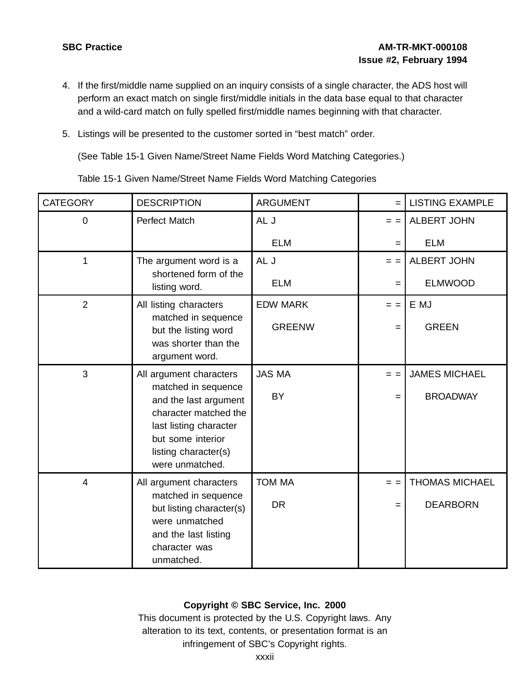- 4. If the first/middle name supplied on an inquiry consists of a single character, the ADS host will perform an exact match on single first/middle initials in the data base equal to that character and a wild-card match on fully spelled first/middle names beginning with that character.
- 5. Listings will be presented to the customer sorted in "best match" order.

(See Table 15-1 Given Name/Street Name Fields Word Matching Categories.)

Table 15-1 Given Name/Street Name Fields Word Matching Categories

| <b>CATEGORY</b> | <b>DESCRIPTION</b>                                                      | <b>ARGUMENT</b>            | $=$            | <b>LISTING EXAMPLE</b>                  |
|-----------------|-------------------------------------------------------------------------|----------------------------|----------------|-----------------------------------------|
| 0               | Perfect Match                                                           | AL J                       | $=$ $=$        | <b>ALBERT JOHN</b>                      |
|                 |                                                                         | <b>ELM</b>                 | $=$            | <b>ELM</b>                              |
| 1               | The argument word is a                                                  | AL J                       | $=$ $=$        | <b>ALBERT JOHN</b>                      |
|                 | shortened form of the<br>listing word.                                  | <b>ELM</b>                 | $=$            | <b>ELMWOOD</b>                          |
| 2               | All listing characters                                                  | <b>EDW MARK</b>            | $=$ $=$        | E MJ                                    |
|                 | matched in sequence<br>but the listing word                             | <b>GREENW</b>              | $=$            | <b>GREEN</b>                            |
|                 | was shorter than the<br>argument word.                                  |                            |                |                                         |
| 3               | All argument characters<br>matched in sequence<br>and the last argument | <b>JAS MA</b><br><b>BY</b> | $=$ $=$<br>$=$ | <b>JAMES MICHAEL</b><br><b>BROADWAY</b> |
|                 | character matched the<br>last listing character<br>but some interior    |                            |                |                                         |
|                 | listing character(s)<br>were unmatched.                                 |                            |                |                                         |
| $\overline{4}$  | All argument characters                                                 | <b>TOM MA</b>              | $=$ $=$        | <b>THOMAS MICHAEL</b>                   |
|                 | matched in sequence<br>but listing character(s)<br>were unmatched       | <b>DR</b>                  | $=$            | <b>DEARBORN</b>                         |
|                 | and the last listing<br>character was<br>unmatched.                     |                            |                |                                         |

# **Copyright © SBC Service, Inc. 2000**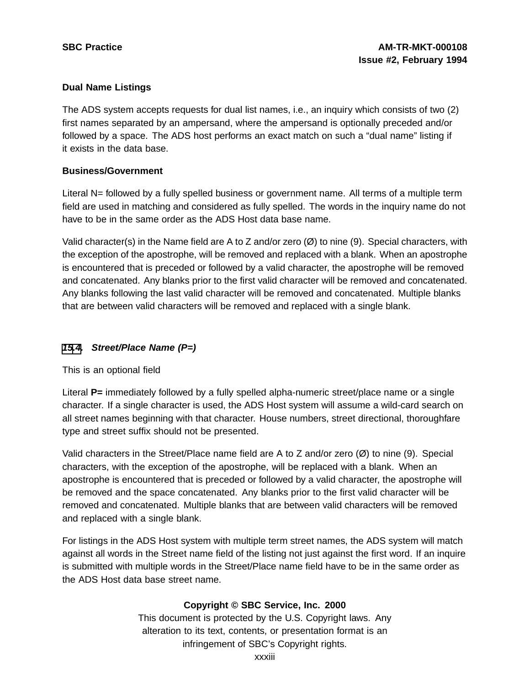# **Dual Name Listings**

The ADS system accepts requests for dual list names, i.e., an inquiry which consists of two (2) first names separated by an ampersand, where the ampersand is optionally preceded and/or followed by a space. The ADS host performs an exact match on such a "dual name" listing if it exists in the data base.

# **Business/Government**

Literal N= followed by a fully spelled business or government name. All terms of a multiple term field are used in matching and considered as fully spelled. The words in the inquiry name do not have to be in the same order as the ADS Host data base name.

Valid character(s) in the Name field are A to Z and/or zero (Ø) to nine (9). Special characters, with the exception of the apostrophe, will be removed and replaced with a blank. When an apostrophe is encountered that is preceded or followed by a valid character, the apostrophe will be removed and concatenated. Any blanks prior to the first valid character will be removed and concatenated. Any blanks following the last valid character will be removed and concatenated. Multiple blanks that are between valid characters will be removed and replaced with a single blank.

# **[15](#page-29-0)[.4](#page-32-0). Street/Place Name (P=)**

This is an optional field

Literal **P**= immediately followed by a fully spelled alpha-numeric street/place name or a single character. If a single character is used, the ADS Host system will assume a wild-card search on all street names beginning with that character. House numbers, street directional, thoroughfare type and street suffix should not be presented.

Valid characters in the Street/Place name field are A to Z and/or zero (Ø) to nine (9). Special characters, with the exception of the apostrophe, will be replaced with a blank. When an apostrophe is encountered that is preceded or followed by a valid character, the apostrophe will be removed and the space concatenated. Any blanks prior to the first valid character will be removed and concatenated. Multiple blanks that are between valid characters will be removed and replaced with a single blank.

<span id="page-32-0"></span>For listings in the ADS Host system with multiple term street names, the ADS system will match against all words in the Street name field of the listing not just against the first word. If an inquire is submitted with multiple words in the Street/Place name field have to be in the same order as the ADS Host data base street name.

# **Copyright © SBC Service, Inc. 2000**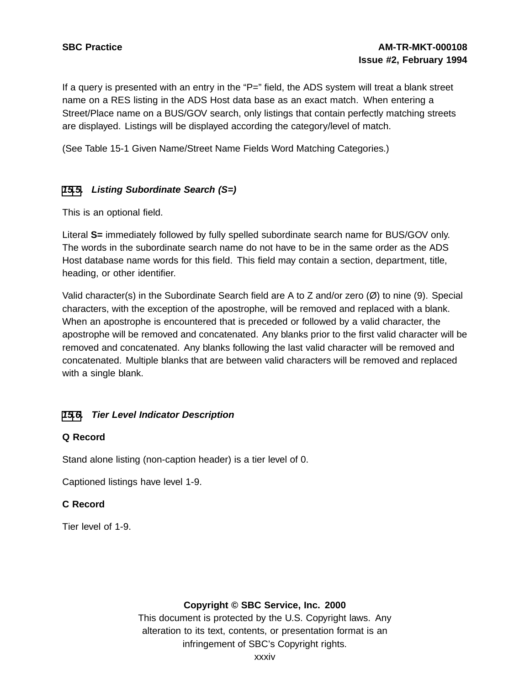If a query is presented with an entry in the " $P=$ " field, the ADS system will treat a blank street name on a RES listing in the ADS Host data base as an exact match. When entering a Street/Place name on a BUS/GOV search, only listings that contain perfectly matching streets are displayed. Listings will be displayed according the category/level of match.

(See Table 15-1 Given Name/Street Name Fields Word Matching Categories.)

# **[15](#page-29-0)[.5](#page-33-0). Listing Subordinate Search (S=)**

This is an optional field.

Literal **S=** immediately followed by fully spelled subordinate search name for BUS/GOV only. The words in the subordinate search name do not have to be in the same order as the ADS Host database name words for this field. This field may contain a section, department, title, heading, or other identifier.

Valid character(s) in the Subordinate Search field are A to Z and/or zero  $(\emptyset)$  to nine (9). Special characters, with the exception of the apostrophe, will be removed and replaced with a blank. When an apostrophe is encountered that is preceded or followed by a valid character, the apostrophe will be removed and concatenated. Any blanks prior to the first valid character will be removed and concatenated. Any blanks following the last valid character will be removed and concatenated. Multiple blanks that are between valid characters will be removed and replaced with a single blank.

# **[15](#page-29-0)[.6](#page-33-0). Tier Level Indicator Description**

# **Q Record**

Stand alone listing (non-caption header) is a tier level of 0.

Captioned listings have level 1-9.

# **C Record**

<span id="page-33-0"></span>Tier level of 1-9.

# **Copyright © SBC Service, Inc. 2000**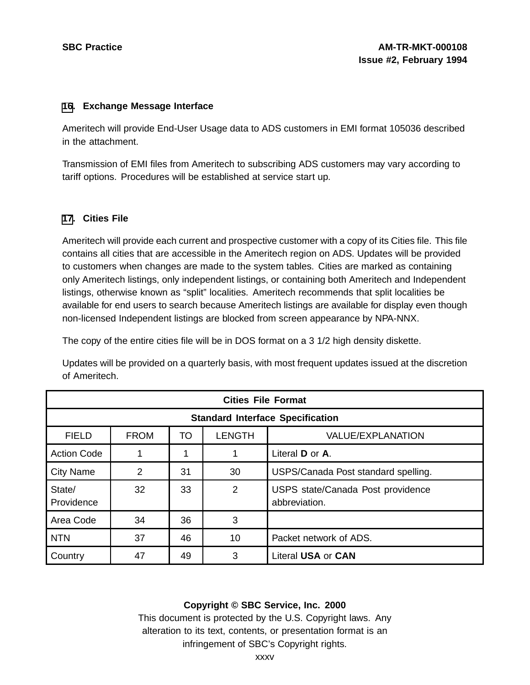#### **[16](#page-34-0). Exchange Message Interface**

Ameritech will provide End-User Usage data to ADS customers in EMI format 105036 described in the attachment.

Transmission of EMI files from Ameritech to subscribing ADS customers may vary according to tariff options. Procedures will be established at service start up.

#### **[17](#page-34-0). Cities File**

Ameritech will provide each current and prospective customer with a copy of its Cities file. This file contains all cities that are accessible in the Ameritech region on ADS. Updates will be provided to customers when changes are made to the system tables. Cities are marked as containing only Ameritech listings, only independent listings, or containing both Ameritech and Independent listings, otherwise known as "split" localities. Ameritech recommends that split localities be available for end users to search because Ameritech listings are available for display even though non-licensed Independent listings are blocked from screen appearance by NPA-NNX.

The copy of the entire cities file will be in DOS format on a 3 1/2 high density diskette.

Updates will be provided on a quarterly basis, with most frequent updates issued at the discretion of Ameritech.

| <b>Cities File Format</b>               |             |    |                |                                                    |
|-----------------------------------------|-------------|----|----------------|----------------------------------------------------|
| <b>Standard Interface Specification</b> |             |    |                |                                                    |
| <b>FIELD</b>                            | <b>FROM</b> | TO | <b>LENGTH</b>  | <b>VALUE/EXPLANATION</b>                           |
| <b>Action Code</b>                      |             |    |                | Literal <b>D</b> or <b>A</b> .                     |
| <b>City Name</b>                        | 2           | 31 | 30             | USPS/Canada Post standard spelling.                |
| State/<br>Providence                    | 32          | 33 | $\overline{2}$ | USPS state/Canada Post providence<br>abbreviation. |
| Area Code                               | 34          | 36 | 3              |                                                    |
| <b>NTN</b>                              | 37          | 46 | 10             | Packet network of ADS.                             |
| Country                                 | 47          | 49 | 3              | Literal USA or CAN                                 |

# <span id="page-34-0"></span>**Copyright © SBC Service, Inc. 2000**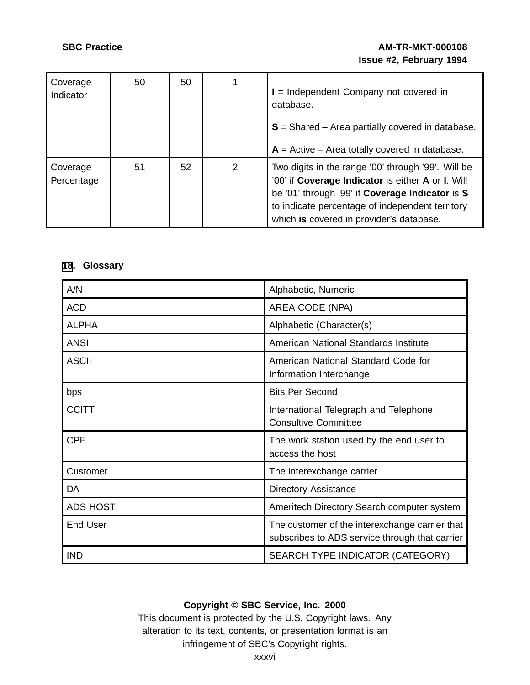# **SBC Practice AM-TR-MKT-000108 Issue #2, February 1994**

| Coverage<br>Indicator  | 50 | 50 |   | = Independent Company not covered in<br>database.<br>$S =$ Shared – Area partially covered in database.<br>$A =$ Active – Area totally covered in database.                                                                                               |
|------------------------|----|----|---|-----------------------------------------------------------------------------------------------------------------------------------------------------------------------------------------------------------------------------------------------------------|
| Coverage<br>Percentage | 51 | 52 | 2 | Two digits in the range '00' through '99'. Will be<br>'00' if Coverage Indicator is either A or I. Will<br>be '01' through '99' if Coverage Indicator is S<br>to indicate percentage of independent territory<br>which is covered in provider's database. |

# **[18](#page-35-0). Glossary**

| A/N             | Alphabetic, Numeric                                                                              |
|-----------------|--------------------------------------------------------------------------------------------------|
| <b>ACD</b>      | AREA CODE (NPA)                                                                                  |
| <b>ALPHA</b>    | Alphabetic (Character(s)                                                                         |
| <b>ANSI</b>     | American National Standards Institute                                                            |
| <b>ASCII</b>    | American National Standard Code for<br>Information Interchange                                   |
| bps             | <b>Bits Per Second</b>                                                                           |
| <b>CCITT</b>    | International Telegraph and Telephone<br><b>Consultive Committee</b>                             |
| <b>CPE</b>      | The work station used by the end user to<br>access the host                                      |
| Customer        | The interexchange carrier                                                                        |
| DA              | <b>Directory Assistance</b>                                                                      |
| <b>ADS HOST</b> | Ameritech Directory Search computer system                                                       |
| <b>End User</b> | The customer of the interexchange carrier that<br>subscribes to ADS service through that carrier |
| <b>IND</b>      | SEARCH TYPE INDICATOR (CATEGORY)                                                                 |

# <span id="page-35-0"></span>**Copyright © SBC Service, Inc. 2000**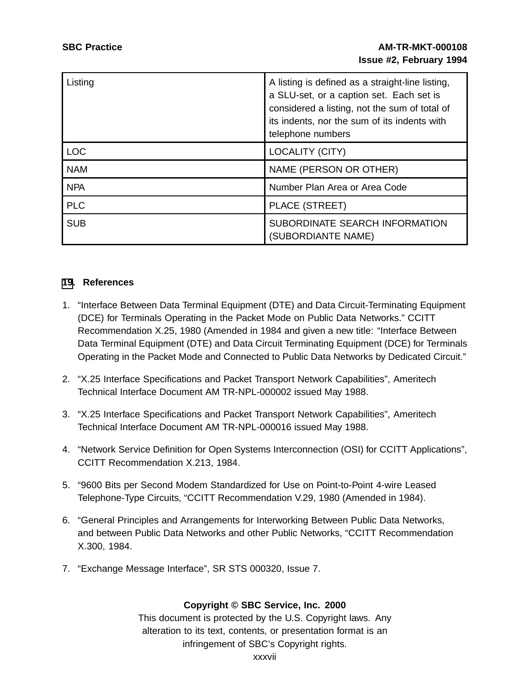| Listing    | A listing is defined as a straight-line listing,<br>a SLU-set, or a caption set. Each set is<br>considered a listing, not the sum of total of<br>its indents, nor the sum of its indents with<br>telephone numbers |
|------------|--------------------------------------------------------------------------------------------------------------------------------------------------------------------------------------------------------------------|
| <b>LOC</b> | LOCALITY (CITY)                                                                                                                                                                                                    |
| <b>NAM</b> | NAME (PERSON OR OTHER)                                                                                                                                                                                             |
| <b>NPA</b> | Number Plan Area or Area Code                                                                                                                                                                                      |
| <b>PLC</b> | PLACE (STREET)                                                                                                                                                                                                     |
| <b>SUB</b> | SUBORDINATE SEARCH INFORMATION<br>(SUBORDIANTE NAME)                                                                                                                                                               |

#### **[19](#page-36-0). References**

- 1. "Interface Between Data Terminal Equipment (DTE) and Data Circuit-Terminating Equipment (DCE) for Terminals Operating in the Packet Mode on Public Data Networks." CCITT Recommendation X.25, 1980 (Amended in 1984 and given a new title: "Interface Between Data Terminal Equipment (DTE) and Data Circuit Terminating Equipment (DCE) for Terminals Operating in the Packet Mode and Connected to Public Data Networks by Dedicated Circuit."
- 2. "X.25 Interface Specifications and Packet Transport Network Capabilities", Ameritech Technical Interface Document AM TR-NPL-000002 issued May 1988.
- 3. "X.25 Interface Specifications and Packet Transport Network Capabilities", Ameritech Technical Interface Document AM TR-NPL-000016 issued May 1988.
- 4. "Network Service Definition for Open Systems Interconnection (OSI) for CCITT Applications", CCITT Recommendation X.213, 1984.
- 5. "9600 Bits per Second Modem Standardized for Use on Point-to-Point 4-wire Leased Telephone-Type Circuits, "CCITT Recommendation V.29, 1980 (Amended in 1984).
- 6. "General Principles and Arrangements for Interworking Between Public Data Networks, and between Public Data Networks and other Public Networks, "CCITT Recommendation X.300, 1984.
- <span id="page-36-0"></span>7. "Exchange Message Interface", SR STS 000320, Issue 7.

# **Copyright © SBC Service, Inc. 2000**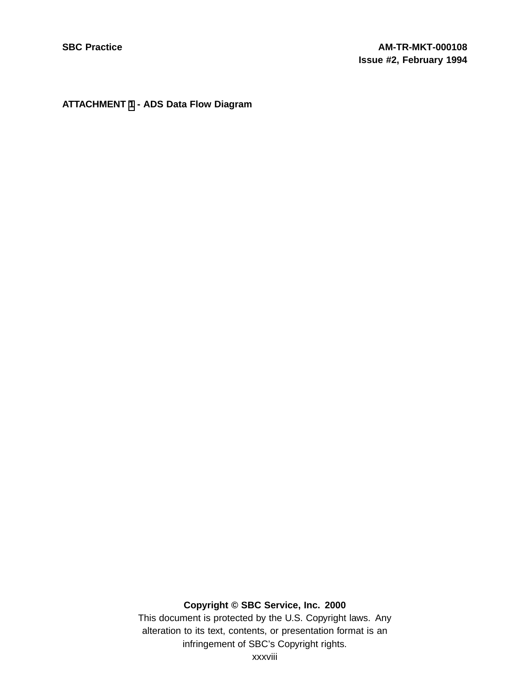# **ATTACHMENT [1](#page-37-0) - ADS Data Flow Diagram**

# <span id="page-37-0"></span>**Copyright © SBC Service, Inc. 2000**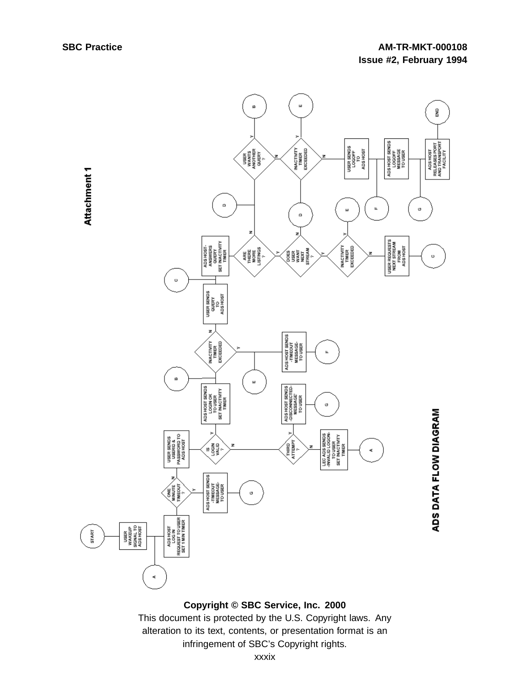Attachment 1

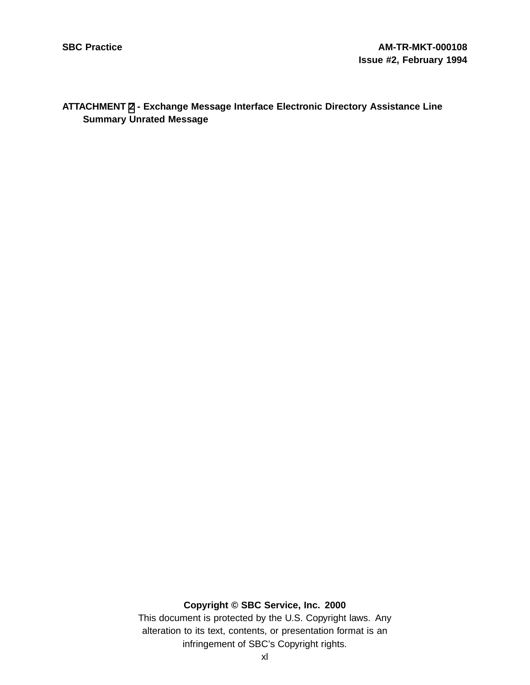# **ATTACHMENT [2](#page-39-0) - Exchange Message Interface Electronic Directory Assistance Line Summary Unrated Message**

# <span id="page-39-0"></span>**Copyright © SBC Service, Inc. 2000**